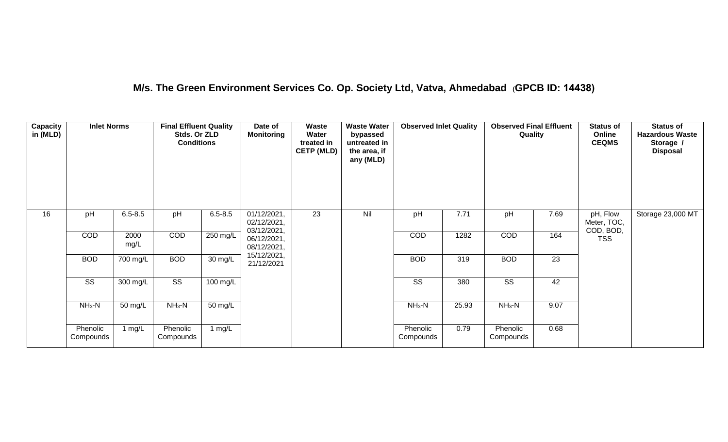## **M/s. The Green Environment Services Co. Op. Society Ltd, Vatva, Ahmedabad (GPCB ID: 14438)**

| <b>Capacity</b><br>in (MLD) | <b>Inlet Norms</b>     |              | <b>Final Effluent Quality</b><br>Stds. Or ZLD<br><b>Conditions</b> |                    | Date of<br><b>Monitoring</b>              | <b>Waste</b><br>Water<br>treated in<br><b>CETP (MLD)</b> | <b>Waste Water</b><br>bypassed<br>untreated in<br>the area, if<br>any (MLD) | <b>Observed Inlet Quality</b> |       | <b>Observed Final Effluent</b><br>Quality |      | <b>Status of</b><br>Online<br><b>CEQMS</b> | <b>Status of</b><br><b>Hazardous Waste</b><br>Storage /<br><b>Disposal</b> |
|-----------------------------|------------------------|--------------|--------------------------------------------------------------------|--------------------|-------------------------------------------|----------------------------------------------------------|-----------------------------------------------------------------------------|-------------------------------|-------|-------------------------------------------|------|--------------------------------------------|----------------------------------------------------------------------------|
| 16                          | pH                     | $6.5 - 8.5$  | pH                                                                 | $6.5 - 8.5$        | 01/12/2021,<br>02/12/2021,<br>03/12/2021, | $\overline{23}$                                          | Nil                                                                         | pH                            | 7.71  | pH                                        | 7.69 | pH, Flow<br>Meter, TOC,<br>COD, BOD,       | Storage 23,000 MT                                                          |
|                             | COD                    | 2000<br>mg/L | COD                                                                | 250 mg/L           | 06/12/2021,<br>08/12/2021,                |                                                          |                                                                             | COD                           | 1282  | COD                                       | 164  | <b>TSS</b>                                 |                                                                            |
|                             | <b>BOD</b>             | 700 mg/L     | <b>BOD</b>                                                         | 30 mg/L            | 15/12/2021,<br>21/12/2021                 |                                                          |                                                                             | <b>BOD</b>                    | 319   | <b>BOD</b>                                | 23   |                                            |                                                                            |
|                             | $\overline{\text{ss}}$ | 300 mg/L     | $\overline{\text{SS}}$                                             | $100 \text{ mg/L}$ |                                           |                                                          |                                                                             | $\overline{\text{ss}}$        | 380   | $\overline{\text{SS}}$                    | 42   |                                            |                                                                            |
|                             | $NH3-N$                | 50 mg/L      | $NH3-N$                                                            | 50 mg/L            |                                           |                                                          |                                                                             | $NH3-N$                       | 25.93 | $NH3-N$                                   | 9.07 |                                            |                                                                            |
|                             | Phenolic<br>Compounds  | 1 mg/L       | Phenolic<br>Compounds                                              | 1 mg/L             |                                           |                                                          |                                                                             | Phenolic<br>Compounds         | 0.79  | Phenolic<br>Compounds                     | 0.68 |                                            |                                                                            |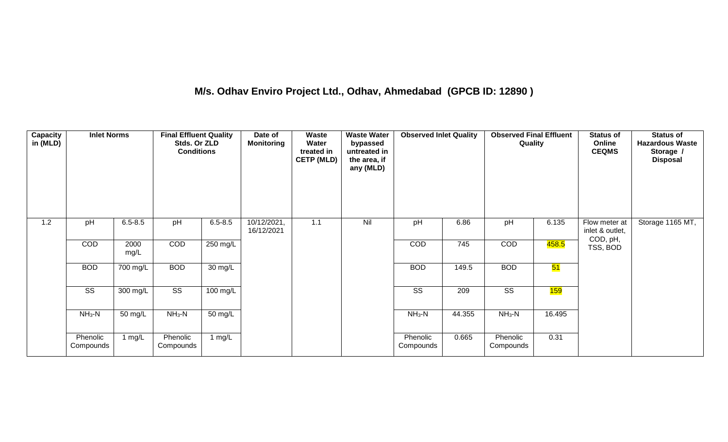## **M/s. Odhav Enviro Project Ltd., Odhav, Ahmedabad (GPCB ID: 12890 )**

| Capacity<br>in (MLD) | <b>Inlet Norms</b>     |              | <b>Final Effluent Quality</b><br>Stds. Or ZLD<br><b>Conditions</b> |                      | Date of<br><b>Monitoring</b> | Waste<br>Water<br>treated in<br><b>CETP (MLD)</b> | <b>Waste Water</b><br>bypassed<br>untreated in<br>the area, if<br>any (MLD) | <b>Observed Inlet Quality</b> |        | <b>Observed Final Effluent</b><br>Quality |        | <b>Status of</b><br>Online<br><b>CEQMS</b> | <b>Status of</b><br><b>Hazardous Waste</b><br>Storage /<br><b>Disposal</b> |
|----------------------|------------------------|--------------|--------------------------------------------------------------------|----------------------|------------------------------|---------------------------------------------------|-----------------------------------------------------------------------------|-------------------------------|--------|-------------------------------------------|--------|--------------------------------------------|----------------------------------------------------------------------------|
| 1.2                  | pH                     | $6.5 - 8.5$  | pH                                                                 | $6.5 - 8.5$          | 10/12/2021,<br>16/12/2021    | 1.1                                               | Nil                                                                         | pH                            | 6.86   | pH                                        | 6.135  | Flow meter at<br>inlet & outlet,           | Storage 1165 MT,                                                           |
|                      | COD                    | 2000<br>mg/L | COD                                                                | 250 mg/L             |                              |                                                   |                                                                             | COD                           | 745    | COD                                       | 458.5  | COD, pH,<br>TSS, BOD                       |                                                                            |
|                      | <b>BOD</b>             | 700 mg/L     | <b>BOD</b>                                                         | 30 mg/L              |                              |                                                   |                                                                             | <b>BOD</b>                    | 149.5  | <b>BOD</b>                                | 51     |                                            |                                                                            |
|                      | $\overline{\text{ss}}$ | 300 mg/L     | $\overline{\text{ss}}$                                             | 100 mg/L             |                              |                                                   |                                                                             | $\overline{\text{SS}}$        | 209    | $\overline{\text{SS}}$                    | 159    |                                            |                                                                            |
|                      | $NH3-N$                | 50 mg/L      | $NH3-N$                                                            | $\overline{50}$ mg/L |                              |                                                   |                                                                             | $NH3-N$                       | 44.355 | $NH3-N$                                   | 16.495 |                                            |                                                                            |
|                      | Phenolic<br>Compounds  | 1 $mg/L$     | Phenolic<br>Compounds                                              | 1 $mg/L$             |                              |                                                   |                                                                             | Phenolic<br>Compounds         | 0.665  | Phenolic<br>Compounds                     | 0.31   |                                            |                                                                            |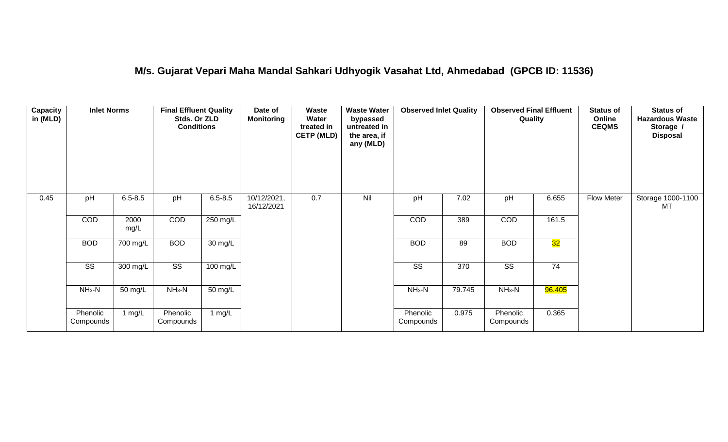#### **M/s. Gujarat Vepari Maha Mandal Sahkari Udhyogik Vasahat Ltd, Ahmedabad (GPCB ID: 11536)**

| <b>Capacity</b><br>in (MLD) | <b>Inlet Norms</b>     |              | <b>Final Effluent Quality</b><br>Stds. Or ZLD<br><b>Conditions</b> |                      | Date of<br><b>Monitoring</b> | Waste<br>Water<br>treated in<br><b>CETP (MLD)</b> | <b>Waste Water</b><br>bypassed<br>untreated in<br>the area, if<br>any (MLD) | <b>Observed Inlet Quality</b> |        | <b>Observed Final Effluent</b><br>Quality |        | <b>Status of</b><br>Online<br><b>CEQMS</b> | <b>Status of</b><br><b>Hazardous Waste</b><br>Storage /<br><b>Disposal</b> |
|-----------------------------|------------------------|--------------|--------------------------------------------------------------------|----------------------|------------------------------|---------------------------------------------------|-----------------------------------------------------------------------------|-------------------------------|--------|-------------------------------------------|--------|--------------------------------------------|----------------------------------------------------------------------------|
| 0.45                        | pH                     | $6.5 - 8.5$  | pH                                                                 | $6.5 - 8.5$          | 10/12/2021,<br>16/12/2021    | 0.7                                               | Nil                                                                         | pH                            | 7.02   | pH                                        | 6.655  | Flow Meter                                 | Storage 1000-1100<br>MT                                                    |
|                             | COD                    | 2000<br>mg/L | COD                                                                | 250 mg/L             |                              |                                                   |                                                                             | <b>COD</b>                    | 389    | COD                                       | 161.5  |                                            |                                                                            |
|                             | <b>BOD</b>             | 700 mg/L     | <b>BOD</b>                                                         | 30 mg/L              |                              |                                                   |                                                                             | <b>BOD</b>                    | 89     | <b>BOD</b>                                | 32     |                                            |                                                                            |
|                             | $\overline{\text{ss}}$ | 300 mg/L     | $\overline{\text{ss}}$                                             | $100$ mg/L           |                              |                                                   |                                                                             | $\overline{\text{ss}}$        | 370    | $\overline{\text{ss}}$                    | 74     |                                            |                                                                            |
|                             | $NH3-N$                | 50 mg/L      | $NH3-N$                                                            | $\overline{50}$ mg/L |                              |                                                   |                                                                             | $NH3-N$                       | 79.745 | $NH3-N$                                   | 96.405 |                                            |                                                                            |
|                             | Phenolic<br>Compounds  | 1 $mg/L$     | Phenolic<br>Compounds                                              | 1 mg/L               |                              |                                                   |                                                                             | Phenolic<br>Compounds         | 0.975  | Phenolic<br>Compounds                     | 0.365  |                                            |                                                                            |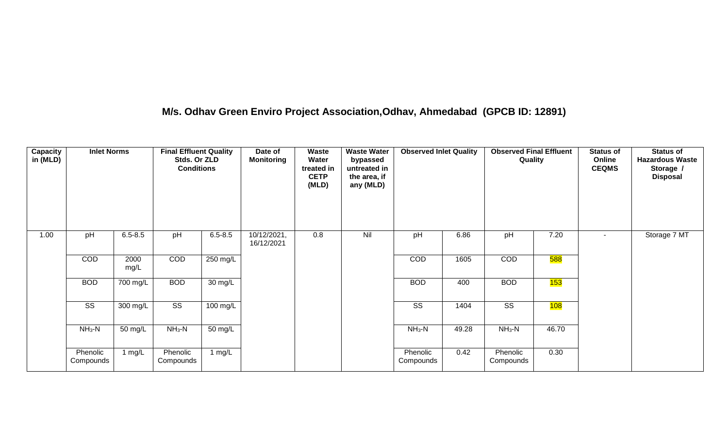## **M/s. Odhav Green Enviro Project Association,Odhav, Ahmedabad (GPCB ID: 12891)**

| <b>Capacity</b><br>in (MLD) | <b>Inlet Norms</b>     |              | <b>Final Effluent Quality</b><br>Stds. Or ZLD<br><b>Conditions</b> |                   | Date of<br><b>Monitoring</b> | Waste<br>Water<br>treated in<br><b>CETP</b><br>(MLD) | <b>Waste Water</b><br>bypassed<br>untreated in<br>the area, if<br>any (MLD) | <b>Observed Inlet Quality</b> |       | <b>Observed Final Effluent</b><br>Quality |            | <b>Status of</b><br>Online<br><b>CEQMS</b> | <b>Status of</b><br><b>Hazardous Waste</b><br>Storage /<br><b>Disposal</b> |
|-----------------------------|------------------------|--------------|--------------------------------------------------------------------|-------------------|------------------------------|------------------------------------------------------|-----------------------------------------------------------------------------|-------------------------------|-------|-------------------------------------------|------------|--------------------------------------------|----------------------------------------------------------------------------|
| 1.00                        | pH                     | $6.5 - 8.5$  | pH                                                                 | $6.5 - 8.5$       | 10/12/2021,<br>16/12/2021    | 0.8                                                  | Nil                                                                         | pH                            | 6.86  | pH                                        | 7.20       | $\sim$                                     | Storage 7 MT                                                               |
|                             | COD                    | 2000<br>mg/L | COD                                                                | 250 mg/L          |                              |                                                      |                                                                             | COD                           | 1605  | COD                                       | <b>588</b> |                                            |                                                                            |
|                             | <b>BOD</b>             | 700 mg/L     | <b>BOD</b>                                                         | $30 \text{ mg/L}$ |                              |                                                      |                                                                             | <b>BOD</b>                    | 400   | <b>BOD</b>                                | 153        |                                            |                                                                            |
|                             | $\overline{\text{SS}}$ | 300 mg/L     | $\overline{\text{SS}}$                                             | 100 mg/L          |                              |                                                      |                                                                             | $\overline{\text{ss}}$        | 1404  | $\overline{\text{SS}}$                    | 108        |                                            |                                                                            |
|                             | $NH3-N$                | 50 mg/L      | $NH_3-N$                                                           | 50 mg/L           |                              |                                                      |                                                                             | $NH3-N$                       | 49.28 | $NH3-N$                                   | 46.70      |                                            |                                                                            |
|                             | Phenolic<br>Compounds  | 1 mg/L       | Phenolic<br>Compounds                                              | 1 $mg/L$          |                              |                                                      |                                                                             | Phenolic<br>Compounds         | 0.42  | Phenolic<br>Compounds                     | 0.30       |                                            |                                                                            |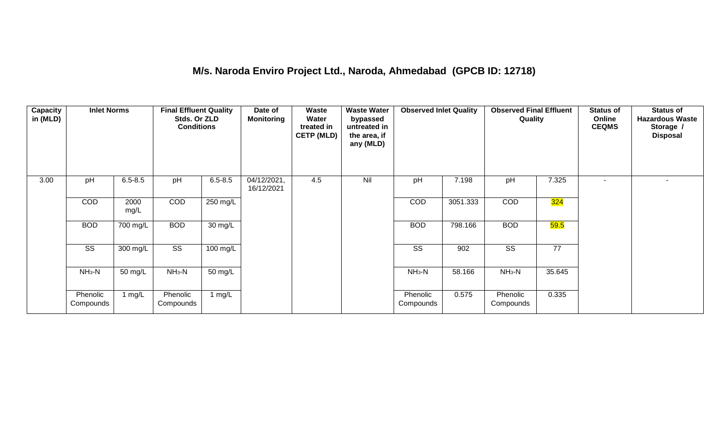#### **M/s. Naroda Enviro Project Ltd., Naroda, Ahmedabad (GPCB ID: 12718)**

| Capacity<br>in (MLD) | <b>Inlet Norms</b>    |              | <b>Final Effluent Quality</b><br>Stds. Or ZLD<br><b>Conditions</b> |             | Date of<br><b>Monitoring</b> | Waste<br>Water<br>treated in<br><b>CETP (MLD)</b> | <b>Waste Water</b><br>bypassed<br>untreated in<br>the area, if<br>any (MLD) | <b>Observed Inlet Quality</b> |          | <b>Observed Final Effluent</b><br>Quality |        | <b>Status of</b><br>Online<br><b>CEQMS</b> | <b>Status of</b><br><b>Hazardous Waste</b><br>Storage /<br><b>Disposal</b> |
|----------------------|-----------------------|--------------|--------------------------------------------------------------------|-------------|------------------------------|---------------------------------------------------|-----------------------------------------------------------------------------|-------------------------------|----------|-------------------------------------------|--------|--------------------------------------------|----------------------------------------------------------------------------|
| 3.00                 | pH                    | $6.5 - 8.5$  | pH                                                                 | $6.5 - 8.5$ | 04/12/2021,<br>16/12/2021    | 4.5                                               | Nil                                                                         | pH                            | 7.198    | pH                                        | 7.325  |                                            |                                                                            |
|                      | <b>COD</b>            | 2000<br>mg/L | COD                                                                | 250 mg/L    |                              |                                                   |                                                                             | COD                           | 3051.333 | COD                                       | 324    |                                            |                                                                            |
|                      | <b>BOD</b>            | 700 mg/L     | <b>BOD</b>                                                         | 30 mg/L     |                              |                                                   |                                                                             | <b>BOD</b>                    | 798.166  | <b>BOD</b>                                | 59.5   |                                            |                                                                            |
|                      | SS                    | 300 mg/L     | SS                                                                 | 100 mg/L    |                              |                                                   |                                                                             | SS                            | 902      | SS                                        | 77     |                                            |                                                                            |
|                      | $NH3-N$               | 50 mg/L      | $NH3-N$                                                            | 50 mg/L     |                              |                                                   |                                                                             | $NH3-N$                       | 58.166   | $NH3-N$                                   | 35.645 |                                            |                                                                            |
|                      | Phenolic<br>Compounds | 1 mg/ $L$    | Phenolic<br>Compounds                                              | 1 $mg/L$    |                              |                                                   |                                                                             | Phenolic<br>Compounds         | 0.575    | Phenolic<br>Compounds                     | 0.335  |                                            |                                                                            |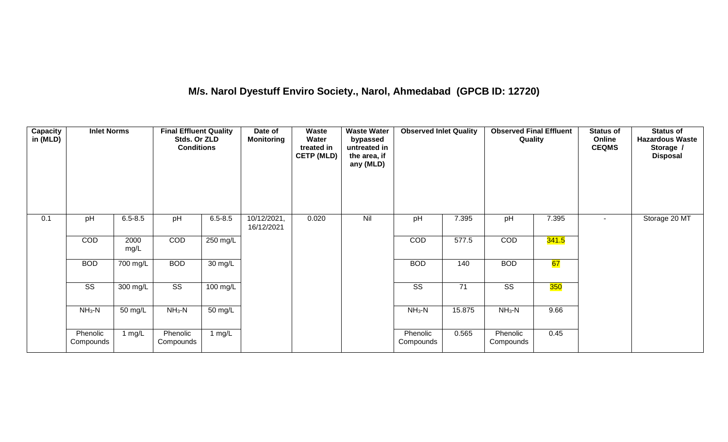## **M/s. Narol Dyestuff Enviro Society., Narol, Ahmedabad (GPCB ID: 12720)**

| <b>Capacity</b><br>in (MLD) | <b>Inlet Norms</b>     |              | <b>Final Effluent Quality</b><br>Stds. Or ZLD<br><b>Conditions</b> |                   | Date of<br><b>Monitoring</b> | Waste<br>Water<br>treated in<br><b>CETP (MLD)</b> | <b>Waste Water</b><br>bypassed<br>untreated in<br>the area, if<br>any (MLD) | <b>Observed Inlet Quality</b> |                 | <b>Observed Final Effluent</b><br>Quality |            | <b>Status of</b><br>Online<br><b>CEQMS</b> | <b>Status of</b><br><b>Hazardous Waste</b><br>Storage /<br><b>Disposal</b> |
|-----------------------------|------------------------|--------------|--------------------------------------------------------------------|-------------------|------------------------------|---------------------------------------------------|-----------------------------------------------------------------------------|-------------------------------|-----------------|-------------------------------------------|------------|--------------------------------------------|----------------------------------------------------------------------------|
| 0.1                         | pH                     | $6.5 - 8.5$  | pH                                                                 | $6.5 - 8.5$       | 10/12/2021,<br>16/12/2021    | 0.020                                             | Nil                                                                         | pH                            | 7.395           | pH                                        | 7.395      | $\sim$                                     | Storage 20 MT                                                              |
|                             | COD                    | 2000<br>mg/L | COD                                                                | 250 mg/L          |                              |                                                   |                                                                             | COD                           | 577.5           | COD                                       | 341.5      |                                            |                                                                            |
|                             | <b>BOD</b>             | 700 mg/L     | <b>BOD</b>                                                         | $30 \text{ mg/L}$ |                              |                                                   |                                                                             | <b>BOD</b>                    | 140             | <b>BOD</b>                                | 67         |                                            |                                                                            |
|                             | $\overline{\text{ss}}$ | 300 mg/L     | $\overline{\text{ss}}$                                             | $100$ mg/L        |                              |                                                   |                                                                             | $\overline{\text{ss}}$        | $\overline{71}$ | $\overline{\text{SS}}$                    | <b>350</b> |                                            |                                                                            |
|                             | $NH3-N$                | 50 mg/L      | $NH3-N$                                                            | $50 \text{ mg/L}$ |                              |                                                   |                                                                             | $NH3-N$                       | 15.875          | $NH3-N$                                   | 9.66       |                                            |                                                                            |
|                             | Phenolic<br>Compounds  | 1 mg/L       | Phenolic<br>Compounds                                              | 1 $mg/L$          |                              |                                                   |                                                                             | Phenolic<br>Compounds         | 0.565           | Phenolic<br>Compounds                     | 0.45       |                                            |                                                                            |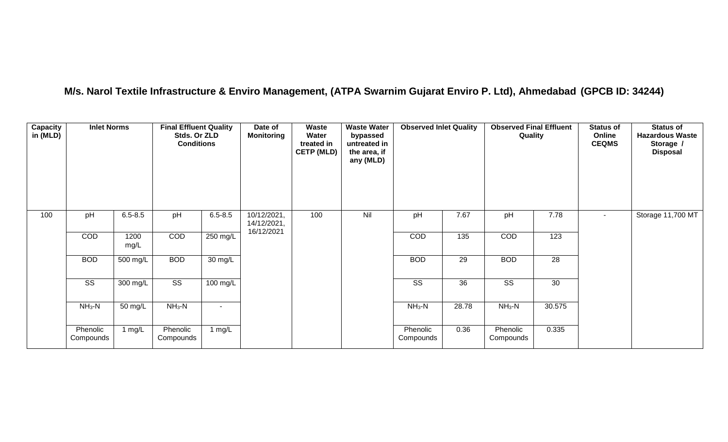## **M/s. Narol Textile Infrastructure & Enviro Management, (ATPA Swarnim Gujarat Enviro P. Ltd), Ahmedabad (GPCB ID: 34244)**

| Capacity<br>in (MLD) | <b>Inlet Norms</b>     |                       | <b>Final Effluent Quality</b><br>Stds. Or ZLD<br><b>Conditions</b> |             | Date of<br>Monitoring                    | Waste<br>Water<br>treated in<br><b>CETP (MLD)</b> | <b>Waste Water</b><br>bypassed<br>untreated in<br>the area, if<br>any (MLD) | <b>Observed Inlet Quality</b> |                 | <b>Observed Final Effluent</b><br>Quality |        | <b>Status of</b><br>Online<br><b>CEQMS</b> | <b>Status of</b><br><b>Hazardous Waste</b><br>Storage /<br><b>Disposal</b> |
|----------------------|------------------------|-----------------------|--------------------------------------------------------------------|-------------|------------------------------------------|---------------------------------------------------|-----------------------------------------------------------------------------|-------------------------------|-----------------|-------------------------------------------|--------|--------------------------------------------|----------------------------------------------------------------------------|
| 100                  | pH                     | $6.5 - 8.5$           | pH                                                                 | $6.5 - 8.5$ | 10/12/2021,<br>14/12/2021,<br>16/12/2021 | 100                                               | Nil                                                                         | pH                            | 7.67            | pH                                        | 7.78   | $\blacksquare$                             | Storage 11,700 MT                                                          |
|                      | COD                    | 1200<br>mg/L          | COD                                                                | 250 mg/L    |                                          |                                                   |                                                                             | COD                           | 135             | COD                                       | 123    |                                            |                                                                            |
|                      | <b>BOD</b>             | $\overline{500}$ mg/L | <b>BOD</b>                                                         | 30 mg/L     |                                          |                                                   |                                                                             | <b>BOD</b>                    | 29              | <b>BOD</b>                                | 28     |                                            |                                                                            |
|                      | $\overline{\text{ss}}$ | 300 mg/L              | $\overline{\text{ss}}$                                             | 100 mg/L    |                                          |                                                   |                                                                             | $\overline{\text{ss}}$        | $\overline{36}$ | $\overline{\text{SS}}$                    | 30     |                                            |                                                                            |
|                      | $NH3-N$                | 50 mg/L               | $NH3-N$                                                            |             |                                          |                                                   |                                                                             | $NH_3-N$                      | 28.78           | $NH_3-N$                                  | 30.575 |                                            |                                                                            |
|                      | Phenolic<br>Compounds  | 1 $mg/L$              | Phenolic<br>Compounds                                              | 1 $mg/L$    |                                          |                                                   |                                                                             | Phenolic<br>Compounds         | 0.36            | Phenolic<br>Compounds                     | 0.335  |                                            |                                                                            |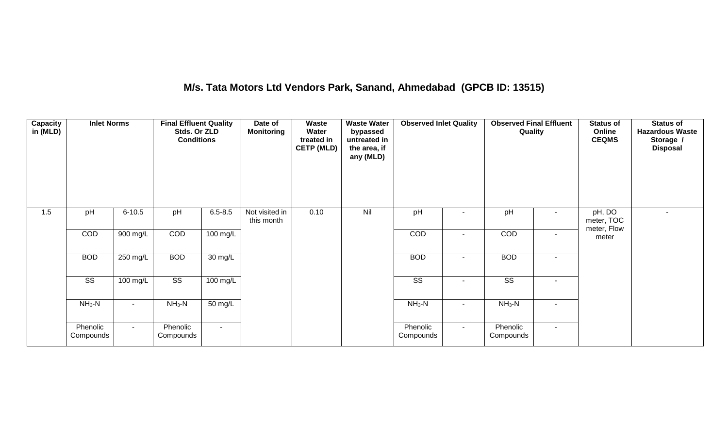## **M/s. Tata Motors Ltd Vendors Park, Sanand, Ahmedabad (GPCB ID: 13515)**

| Capacity<br>in (MLD) | <b>Inlet Norms</b>     |            | <b>Final Effluent Quality</b><br>Stds. Or ZLD<br><b>Conditions</b> |                      | Date of<br><b>Monitoring</b> | Waste<br>Water<br>treated in<br><b>CETP (MLD)</b> | <b>Waste Water</b><br>bypassed<br>untreated in<br>the area, if<br>any (MLD) | <b>Observed Inlet Quality</b> |                          | <b>Observed Final Effluent</b><br>Quality |                          | <b>Status of</b><br>Online<br><b>CEQMS</b> | <b>Status of</b><br><b>Hazardous Waste</b><br>Storage /<br><b>Disposal</b> |
|----------------------|------------------------|------------|--------------------------------------------------------------------|----------------------|------------------------------|---------------------------------------------------|-----------------------------------------------------------------------------|-------------------------------|--------------------------|-------------------------------------------|--------------------------|--------------------------------------------|----------------------------------------------------------------------------|
| 1.5                  | pH                     | $6 - 10.5$ | pH                                                                 | $6.5 - 8.5$          | Not visited in<br>this month | 0.10                                              | Nil                                                                         | pH                            |                          | pH                                        |                          | pH, DO<br>meter, TOC<br>meter, Flow        | ۰                                                                          |
|                      | COD                    | 900 mg/L   | COD                                                                | 100 mg/L             |                              |                                                   |                                                                             | COD                           | $\sim$                   | COD                                       | ٠                        | meter                                      |                                                                            |
|                      | <b>BOD</b>             | 250 mg/L   | <b>BOD</b>                                                         | $\overline{30}$ mg/L |                              |                                                   |                                                                             | <b>BOD</b>                    | $\overline{\phantom{a}}$ | <b>BOD</b>                                | ٠                        |                                            |                                                                            |
|                      | $\overline{\text{ss}}$ | 100 mg/L   | $\overline{\text{SS}}$                                             | $100$ mg/L           |                              |                                                   |                                                                             | $\overline{\text{ss}}$        | $\sim$                   | $\overline{\text{ss}}$                    | $\sim$                   |                                            |                                                                            |
|                      | $NH3-N$                |            | $NH3-N$                                                            | 50 mg/L              |                              |                                                   |                                                                             | $NH3-N$                       | $\sim$                   | $NH3-N$                                   | $\overline{\phantom{a}}$ |                                            |                                                                            |
|                      | Phenolic<br>Compounds  | $\sim$     | Phenolic<br>Compounds                                              | $\sim$               |                              |                                                   |                                                                             | Phenolic<br>Compounds         | $\sim$                   | Phenolic<br>Compounds                     | $\sim$                   |                                            |                                                                            |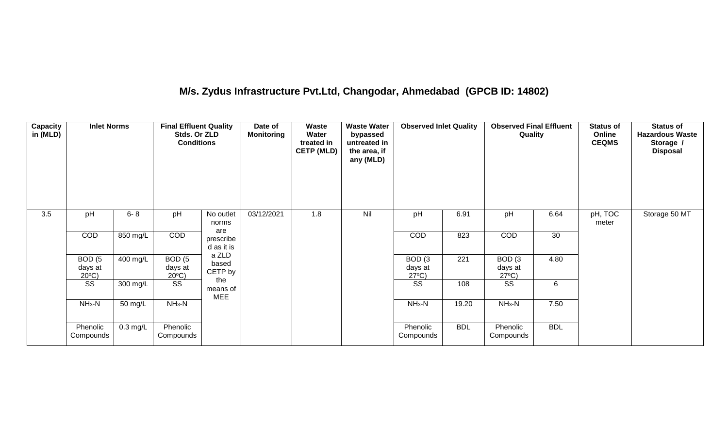## **M/s. Zydus Infrastructure Pvt.Ltd, Changodar, Ahmedabad (GPCB ID: 14802)**

| <b>Capacity</b><br>in (MLD) | <b>Inlet Norms</b>                              |                    | <b>Final Effluent Quality</b><br>Stds. Or ZLD<br><b>Conditions</b> |                           | Date of<br><b>Monitoring</b> | Waste<br>Water<br>treated in<br><b>CETP (MLD)</b> | <b>Waste Water</b><br>bypassed<br>untreated in<br>the area, if<br>any (MLD) | <b>Observed Inlet Quality</b>                   |            | <b>Observed Final Effluent</b><br>Quality       |            | <b>Status of</b><br>Online<br><b>CEQMS</b> | <b>Status of</b><br><b>Hazardous Waste</b><br>Storage /<br><b>Disposal</b> |
|-----------------------------|-------------------------------------------------|--------------------|--------------------------------------------------------------------|---------------------------|------------------------------|---------------------------------------------------|-----------------------------------------------------------------------------|-------------------------------------------------|------------|-------------------------------------------------|------------|--------------------------------------------|----------------------------------------------------------------------------|
| $\overline{3.5}$            | pH                                              | $6 - 8$            | pH                                                                 | No outlet<br>norms<br>are | 03/12/2021                   | 1.8                                               | Nil                                                                         | pH                                              | 6.91       | pH                                              | 6.64       | pH, TOC<br>meter                           | Storage 50 MT                                                              |
|                             | COD                                             | 850 mg/L           | COD                                                                | prescribe<br>d as it is   |                              |                                                   |                                                                             | COD                                             | 823        | COD                                             | 30         |                                            |                                                                            |
|                             | BOD <sub>(5</sub><br>days at<br>$20^{\circ}$ C) | 400 mg/L           | BOD <sub>(5</sub><br>days at<br>$20^{\circ}$ C)                    | a ZLD<br>based<br>CETP by |                              |                                                   |                                                                             | BOD <sub>(3</sub><br>days at<br>$27^{\circ}C$ ) | 221        | BOD <sub>(3</sub><br>days at<br>$27^{\circ}C$ ) | 4.80       |                                            |                                                                            |
|                             | SS                                              | 300 mg/L           | SS                                                                 | the<br>means of<br>MEE    |                              |                                                   |                                                                             | SS                                              | 108        | SS                                              | 6          |                                            |                                                                            |
|                             | $NH3-N$                                         | 50 mg/L            | $NH_3-N$                                                           |                           |                              |                                                   |                                                                             | $NH_3-N$                                        | 19.20      | $NH3-N$                                         | 7.50       |                                            |                                                                            |
|                             | Phenolic<br>Compounds                           | $0.3 \text{ mg/L}$ | Phenolic<br>Compounds                                              |                           |                              |                                                   |                                                                             | Phenolic<br>Compounds                           | <b>BDL</b> | Phenolic<br>Compounds                           | <b>BDL</b> |                                            |                                                                            |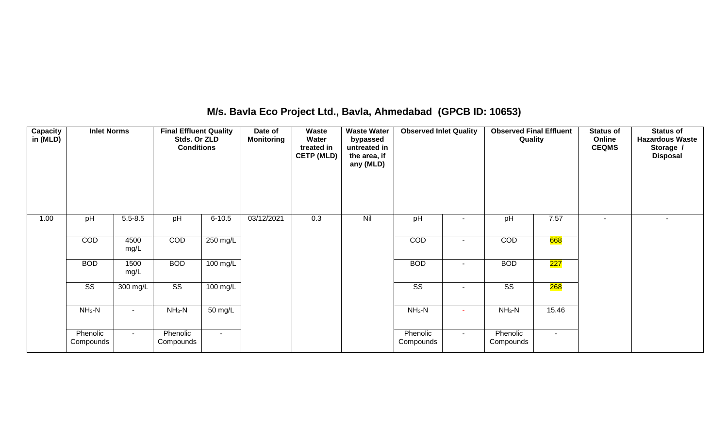## **M/s. Bavla Eco Project Ltd., Bavla, Ahmedabad (GPCB ID: 10653)**

| <b>Capacity</b><br>in (MLD) | <b>Inlet Norms</b>     |              | <b>Final Effluent Quality</b><br>Stds. Or ZLD<br><b>Conditions</b> |                    | Date of<br><b>Monitoring</b> | Waste<br>Water<br>treated in<br><b>CETP (MLD)</b> | <b>Waste Water</b><br>bypassed<br>untreated in<br>the area, if<br>any (MLD) | <b>Observed Inlet Quality</b> |                | <b>Observed Final Effluent</b><br>Quality |        | <b>Status of</b><br>Online<br><b>CEQMS</b> | <b>Status of</b><br><b>Hazardous Waste</b><br>Storage /<br><b>Disposal</b> |
|-----------------------------|------------------------|--------------|--------------------------------------------------------------------|--------------------|------------------------------|---------------------------------------------------|-----------------------------------------------------------------------------|-------------------------------|----------------|-------------------------------------------|--------|--------------------------------------------|----------------------------------------------------------------------------|
| 1.00                        | pH                     | $5.5 - 8.5$  | pH                                                                 | $6 - 10.5$         | 03/12/2021                   | 0.3                                               | Nil                                                                         | pH                            |                | pH                                        | 7.57   | $\overline{\phantom{a}}$                   |                                                                            |
|                             | COD                    | 4500<br>mg/L | COD                                                                | 250 mg/L           |                              |                                                   |                                                                             | COD                           | ۰              | COD                                       | 668    |                                            |                                                                            |
|                             | <b>BOD</b>             | 1500<br>mg/L | <b>BOD</b>                                                         | $100 \text{ mg/L}$ |                              |                                                   |                                                                             | <b>BOD</b>                    | ۰              | <b>BOD</b>                                | 227    |                                            |                                                                            |
|                             | $\overline{\text{ss}}$ | 300 mg/L     | $\overline{\text{ss}}$                                             | 100 mg/L           |                              |                                                   |                                                                             | $\overline{\text{ss}}$        | $\blacksquare$ | $\overline{\text{SS}}$                    | 268    |                                            |                                                                            |
|                             | $NH3-N$                | $\sim$       | $NH3-N$                                                            | 50 mg/L            |                              |                                                   |                                                                             | $NH3-N$                       | ٠              | $NH3-N$                                   | 15.46  |                                            |                                                                            |
|                             | Phenolic<br>Compounds  | $\sim$       | Phenolic<br>Compounds                                              | $\sim$             |                              |                                                   |                                                                             | Phenolic<br>Compounds         | $\sim$         | Phenolic<br>Compounds                     | $\sim$ |                                            |                                                                            |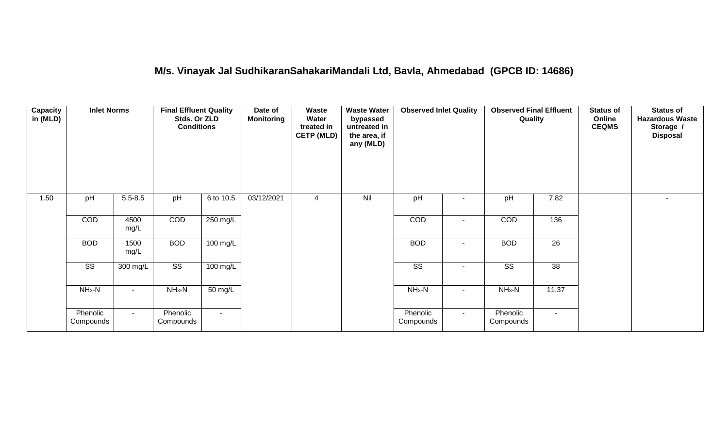#### **M/s. Vinayak Jal SudhikaranSahakariMandali Ltd, Bavla, Ahmedabad (GPCB ID: 14686)**

| Capacity<br>in (MLD) | <b>Inlet Norms</b>     |              | <b>Final Effluent Quality</b><br>Stds. Or ZLD<br><b>Conditions</b> |                      | Date of<br><b>Monitoring</b> | Waste<br>Water<br>treated in<br><b>CETP (MLD)</b> | <b>Waste Water</b><br>bypassed<br>untreated in<br>the area, if<br>any (MLD) | <b>Observed Inlet Quality</b> |        | <b>Observed Final Effluent</b><br>Quality |                 | <b>Status of</b><br>Online<br><b>CEQMS</b> | <b>Status of</b><br><b>Hazardous Waste</b><br>Storage /<br><b>Disposal</b> |
|----------------------|------------------------|--------------|--------------------------------------------------------------------|----------------------|------------------------------|---------------------------------------------------|-----------------------------------------------------------------------------|-------------------------------|--------|-------------------------------------------|-----------------|--------------------------------------------|----------------------------------------------------------------------------|
| 1.50                 | pH                     | $5.5 - 8.5$  | pH                                                                 | 6 to 10.5            | 03/12/2021                   | 4                                                 | Nil                                                                         | pH                            |        | pH                                        | 7.82            |                                            | $\sim$                                                                     |
|                      | COD                    | 4500<br>mg/L | COD                                                                | 250 mg/L             |                              |                                                   |                                                                             | COD                           |        | COD                                       | 136             |                                            |                                                                            |
|                      | <b>BOD</b>             | 1500<br>mg/L | <b>BOD</b>                                                         | 100 mg/L             |                              |                                                   |                                                                             | <b>BOD</b>                    | $\sim$ | <b>BOD</b>                                | $\overline{26}$ |                                            |                                                                            |
|                      | $\overline{\text{SS}}$ | 300 mg/L     | $\overline{\text{SS}}$                                             | $100 \text{ mg/L}$   |                              |                                                   |                                                                             | $\overline{\text{ss}}$        |        | $\overline{\text{ss}}$                    | 38              |                                            |                                                                            |
|                      | $NH3-N$                |              | $NH3-N$                                                            | $\overline{50}$ mg/L |                              |                                                   |                                                                             | $NH3-N$                       | $\sim$ | $NH3-N$                                   | 11.37           |                                            |                                                                            |
|                      | Phenolic<br>Compounds  | $\sim$       | Phenolic<br>Compounds                                              | $\sim$               |                              |                                                   |                                                                             | Phenolic<br>Compounds         | $\sim$ | Phenolic<br>Compounds                     | $\sim$          |                                            |                                                                            |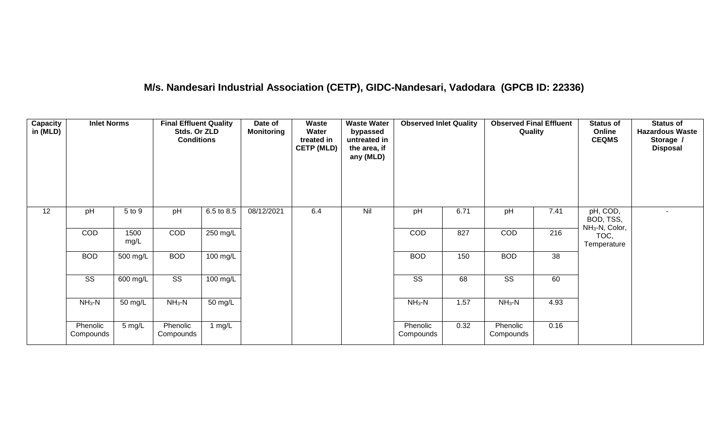## **M/s. Nandesari Industrial Association (CETP), GIDC-Nandesari, Vadodara (GPCB ID: 22336)**

| Capacity<br>in (MLD) | <b>Inlet Norms</b>     |              | <b>Final Effluent Quality</b><br>Stds. Or ZLD<br><b>Conditions</b> |                      | Date of<br><b>Monitoring</b> | <b>Waste</b><br>Water<br>treated in<br><b>CETP (MLD)</b> | <b>Waste Water</b><br>bypassed<br>untreated in<br>the area, if<br>any (MLD) | <b>Observed Inlet Quality</b> |      | <b>Observed Final Effluent</b><br>Quality |                 | <b>Status of</b><br>Online<br><b>CEQMS</b>          | <b>Status of</b><br><b>Hazardous Waste</b><br>Storage /<br><b>Disposal</b> |
|----------------------|------------------------|--------------|--------------------------------------------------------------------|----------------------|------------------------------|----------------------------------------------------------|-----------------------------------------------------------------------------|-------------------------------|------|-------------------------------------------|-----------------|-----------------------------------------------------|----------------------------------------------------------------------------|
| 12                   | pH                     | 5 to 9       | pH                                                                 | 6.5 to 8.5           | 08/12/2021                   | 6.4                                                      | Nil                                                                         | pH                            | 6.71 | pH                                        | 7.41            | pH, COD,<br>BOD, TSS,<br>NH <sub>3</sub> -N, Color, | $\sim$                                                                     |
|                      | COD                    | 1500<br>mg/L | COD                                                                | 250 mg/L             |                              |                                                          |                                                                             | COD                           | 827  | COD                                       | 216             | TOC,<br>Temperature                                 |                                                                            |
|                      | <b>BOD</b>             | 500 mg/L     | <b>BOD</b>                                                         | $100$ mg/L           |                              |                                                          |                                                                             | <b>BOD</b>                    | 150  | <b>BOD</b>                                | $\overline{38}$ |                                                     |                                                                            |
|                      | $\overline{\text{ss}}$ | 600 mg/L     | $\overline{\text{ss}}$                                             | $100$ mg/L           |                              |                                                          |                                                                             | $\overline{\text{ss}}$        | 68   | $\overline{\text{ss}}$                    | 60              |                                                     |                                                                            |
|                      | $NH_3-N$               | 50 mg/L      | $NH3-N$                                                            | $\overline{50}$ mg/L |                              |                                                          |                                                                             | $NH3-N$                       | 1.57 | $NH_3-N$                                  | 4.93            |                                                     |                                                                            |
|                      | Phenolic<br>Compounds  | 5 mg/L       | Phenolic<br>Compounds                                              | 1 mg/L               |                              |                                                          |                                                                             | Phenolic<br>Compounds         | 0.32 | Phenolic<br>Compounds                     | 0.16            |                                                     |                                                                            |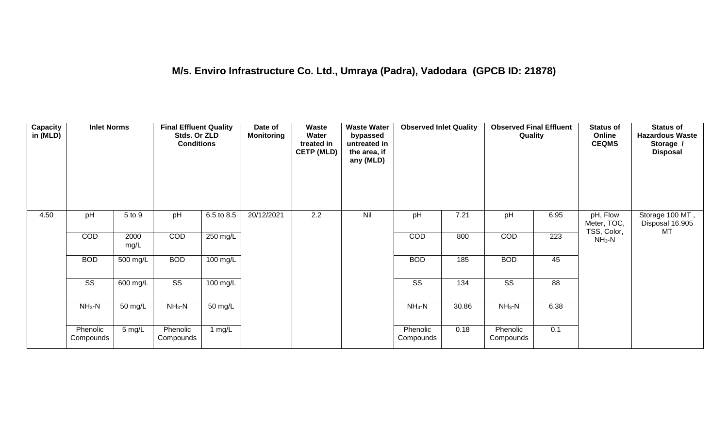| Capacity<br>in (MLD) | <b>Inlet Norms</b>     |              | <b>Final Effluent Quality</b><br>Stds. Or ZLD<br><b>Conditions</b> |                    | Date of<br><b>Monitoring</b> | Waste<br>Water<br>treated in<br><b>CETP (MLD)</b> | <b>Waste Water</b><br>bypassed<br>untreated in<br>the area, if<br>any (MLD) | <b>Observed Inlet Quality</b> |       | <b>Observed Final Effluent</b><br>Quality |                  | <b>Status of</b><br>Online<br><b>CEQMS</b> | <b>Status of</b><br><b>Hazardous Waste</b><br>Storage /<br><b>Disposal</b> |
|----------------------|------------------------|--------------|--------------------------------------------------------------------|--------------------|------------------------------|---------------------------------------------------|-----------------------------------------------------------------------------|-------------------------------|-------|-------------------------------------------|------------------|--------------------------------------------|----------------------------------------------------------------------------|
| 4.50                 | pH                     | 5 to 9       | pH                                                                 | 6.5 to 8.5         | 20/12/2021                   | 2.2                                               | Nil                                                                         | pH                            | 7.21  | pH                                        | 6.95             | pH, Flow<br>Meter, TOC,<br>TSS, Color,     | Storage 100 MT,<br>Disposal 16.905<br>MT                                   |
|                      | COD                    | 2000<br>mg/L | <b>COD</b>                                                         | $250 \text{ mg/L}$ |                              |                                                   |                                                                             | COD                           | 800   | COD                                       | $\overline{223}$ | $NH3-N$                                    |                                                                            |
|                      | <b>BOD</b>             | 500 mg/L     | <b>BOD</b>                                                         | 100 mg/L           |                              |                                                   |                                                                             | <b>BOD</b>                    | 185   | <b>BOD</b>                                | 45               |                                            |                                                                            |
|                      | $\overline{\text{ss}}$ | 600 mg/L     | $\overline{\text{ss}}$                                             | $100$ mg/L         |                              |                                                   |                                                                             | $\overline{\text{ss}}$        | 134   | $\overline{\text{ss}}$                    | 88               |                                            |                                                                            |
|                      | $NH_3-N$               | 50 mg/L      | $NH3-N$                                                            | 50 mg/L            |                              |                                                   |                                                                             | $NH_3-N$                      | 30.86 | $NH3-N$                                   | 6.38             |                                            |                                                                            |
|                      | Phenolic<br>Compounds  | 5 mg/L       | Phenolic<br>Compounds                                              | 1 mg/L             |                              |                                                   |                                                                             | Phenolic<br>Compounds         | 0.18  | Phenolic<br>Compounds                     | 0.1              |                                            |                                                                            |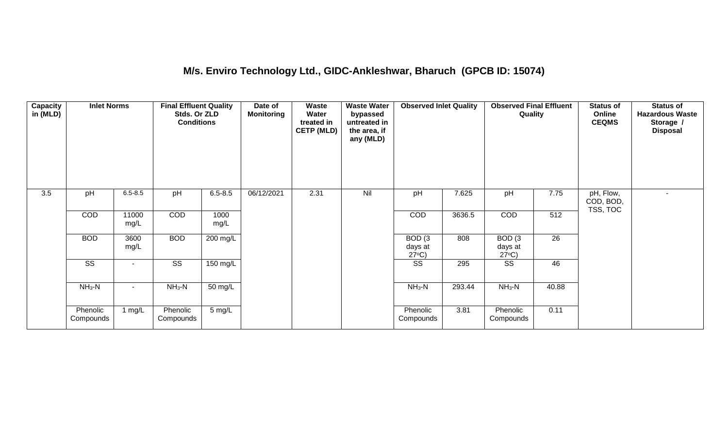## **M/s. Enviro Technology Ltd., GIDC-Ankleshwar, Bharuch (GPCB ID: 15074)**

| Capacity<br>in (MLD) | <b>Inlet Norms</b>     |                     | <b>Final Effluent Quality</b><br>Stds. Or ZLD<br><b>Conditions</b> |                  | Date of<br><b>Monitoring</b> | <b>Waste</b><br>Water<br>treated in<br><b>CETP (MLD)</b> | <b>Waste Water</b><br>bypassed<br>untreated in<br>the area, if<br>any (MLD) | <b>Observed Inlet Quality</b>                   |        | <b>Observed Final Effluent</b><br>Quality       |      | <b>Status of</b><br>Online<br><b>CEQMS</b> | <b>Status of</b><br><b>Hazardous Waste</b><br>Storage /<br><b>Disposal</b> |
|----------------------|------------------------|---------------------|--------------------------------------------------------------------|------------------|------------------------------|----------------------------------------------------------|-----------------------------------------------------------------------------|-------------------------------------------------|--------|-------------------------------------------------|------|--------------------------------------------|----------------------------------------------------------------------------|
| 3.5                  | pH                     | $6.5 - 8.5$         | pH                                                                 | $6.5 - 8.5$      | 06/12/2021                   | 2.31                                                     | Nil                                                                         | pH                                              | 7.625  | pH                                              | 7.75 | pH, Flow,<br>COD, BOD,<br>TSS, TOC         |                                                                            |
|                      | COD                    | 11000<br>mg/L       | COD                                                                | 1000<br>mg/L     |                              |                                                          |                                                                             | <b>COD</b>                                      | 3636.5 | <b>COD</b>                                      | 512  |                                            |                                                                            |
|                      | <b>BOD</b>             | 3600<br>mg/L        | <b>BOD</b>                                                         | 200 mg/L         |                              |                                                          |                                                                             | BOD <sub>(3</sub><br>days at<br>$27^{\circ}C$ ) | 808    | BOD <sub>(3</sub><br>days at<br>$27^{\circ}C$ ) | 26   |                                            |                                                                            |
|                      | $\overline{\text{ss}}$ |                     | $\overline{\text{SS}}$                                             | 150 mg/L         |                              |                                                          |                                                                             | SS                                              | 295    | SS                                              | 46   |                                            |                                                                            |
|                      | $NH3-N$                | $NH_3-N$<br>50 mg/L |                                                                    | $NH3-N$          | 293.44                       | $NH_3-N$                                                 | 40.88                                                                       |                                                 |        |                                                 |      |                                            |                                                                            |
|                      | Phenolic<br>Compounds  | 1 mg/ $L$           | Phenolic<br>Compounds                                              | $5 \text{ mg/L}$ |                              |                                                          |                                                                             | Phenolic<br>Compounds                           | 3.81   | Phenolic<br>Compounds                           | 0.11 |                                            |                                                                            |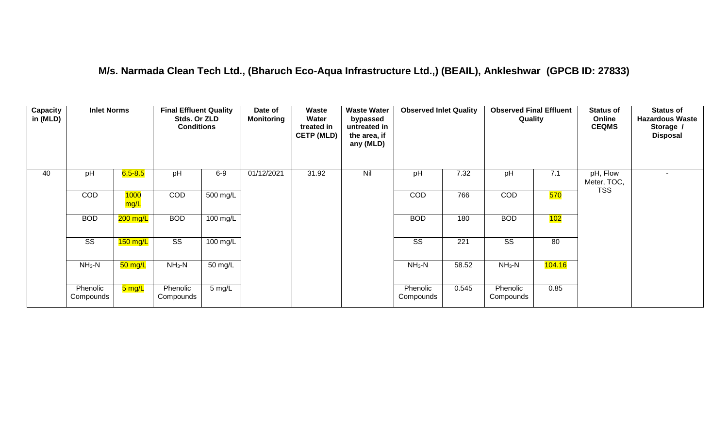#### **M/s. Narmada Clean Tech Ltd., (Bharuch Eco-Aqua Infrastructure Ltd.,) (BEAIL), Ankleshwar (GPCB ID: 27833)**

| Capacity<br>in (MLD) | <b>Inlet Norms</b>    |                     | <b>Final Effluent Quality</b><br>Stds. Or ZLD<br><b>Conditions</b> |                  | Date of<br><b>Monitoring</b> | Waste<br>Water<br>treated in<br><b>CETP (MLD)</b> | <b>Waste Water</b><br>bypassed<br>untreated in<br>the area, if<br>any (MLD) | <b>Observed Inlet Quality</b> |       | <b>Observed Final Effluent</b><br>Quality |        | <b>Status of</b><br>Online<br><b>CEQMS</b> | <b>Status of</b><br><b>Hazardous Waste</b><br>Storage /<br><b>Disposal</b> |
|----------------------|-----------------------|---------------------|--------------------------------------------------------------------|------------------|------------------------------|---------------------------------------------------|-----------------------------------------------------------------------------|-------------------------------|-------|-------------------------------------------|--------|--------------------------------------------|----------------------------------------------------------------------------|
| 40                   | pH                    | $6.5 - 8.5$         | pH                                                                 | $6-9$            | 01/12/2021                   | 31.92                                             | Nil                                                                         | pH                            | 7.32  | pH                                        | 7.1    | pH, Flow<br>Meter, TOC,                    |                                                                            |
|                      | <b>COD</b>            | 1000<br>mg/L        | COD                                                                | 500 mg/L         |                              |                                                   |                                                                             | <b>COD</b>                    | 766   | <b>COD</b>                                | 570    | <b>TSS</b>                                 |                                                                            |
|                      | <b>BOD</b>            | 200 mg/L            | <b>BOD</b>                                                         | 100 mg/L         |                              |                                                   |                                                                             | <b>BOD</b>                    | 180   | <b>BOD</b>                                | 102    |                                            |                                                                            |
|                      | <b>SS</b>             | 150 mg/L            | $\overline{\text{ss}}$                                             | 100 mg/L         |                              |                                                   |                                                                             | <b>SS</b>                     | 221   | SS                                        | 80     |                                            |                                                                            |
|                      | $NH3-N$               | 50 mg/L             | $NH3-N$                                                            | 50 mg/L          |                              |                                                   |                                                                             | $NH3-N$                       | 58.52 | $NH3-N$                                   | 104.16 |                                            |                                                                            |
|                      | Phenolic<br>Compounds | <mark>5 mg/L</mark> | Phenolic<br>Compounds                                              | $5 \text{ mg/L}$ |                              |                                                   |                                                                             | Phenolic<br>Compounds         | 0.545 | Phenolic<br>Compounds                     | 0.85   |                                            |                                                                            |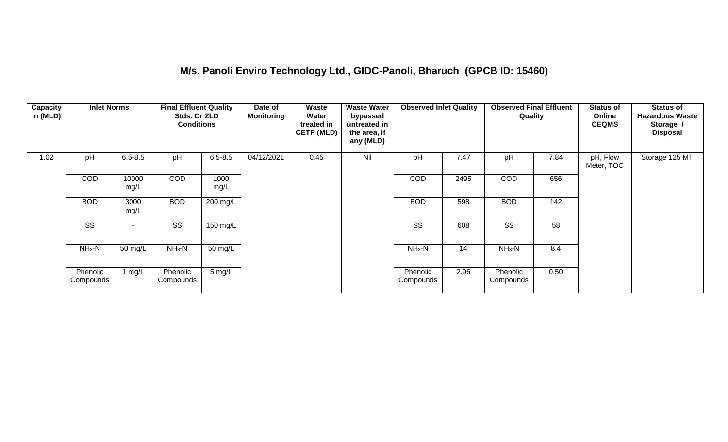#### **M/s. Panoli Enviro Technology Ltd., GIDC-Panoli, Bharuch (GPCB ID: 15460)**

| Capacity<br>in (MLD) | <b>Inlet Norms</b>    |                          | <b>Final Effluent Quality</b><br>Stds. Or ZLD<br><b>Conditions</b> |              | Date of<br><b>Monitoring</b> | Waste<br>Water<br>treated in<br><b>CETP (MLD)</b> | <b>Waste Water</b><br>bypassed<br>untreated in<br>the area, if<br>any (MLD) | <b>Observed Inlet Quality</b> |      | <b>Observed Final Effluent</b><br>Quality |      | <b>Status of</b><br>Online<br><b>CEQMS</b> | <b>Status of</b><br><b>Hazardous Waste</b><br>Storage /<br><b>Disposal</b> |
|----------------------|-----------------------|--------------------------|--------------------------------------------------------------------|--------------|------------------------------|---------------------------------------------------|-----------------------------------------------------------------------------|-------------------------------|------|-------------------------------------------|------|--------------------------------------------|----------------------------------------------------------------------------|
| 1.02                 | pH                    | $6.5 - 8.5$              | pH                                                                 | $6.5 - 8.5$  | 04/12/2021                   | 0.45                                              | Nil                                                                         | pH                            | 7.47 | pH                                        | 7.84 | pH, Flow<br>Meter, TOC                     | Storage 125 MT                                                             |
|                      | COD                   | 10000<br>mg/L            | <b>COD</b>                                                         | 1000<br>mg/L |                              |                                                   |                                                                             | COD                           | 2495 | <b>COD</b>                                | 656  |                                            |                                                                            |
|                      | <b>BOD</b>            | 3000<br>mg/L             | <b>BOD</b>                                                         | 200 mg/L     |                              |                                                   |                                                                             | <b>BOD</b>                    | 598  | <b>BOD</b>                                | 142  |                                            |                                                                            |
|                      | SS                    | $\overline{\phantom{a}}$ | SS                                                                 | 150 mg/L     |                              |                                                   |                                                                             | <b>SS</b>                     | 608  | SS                                        | 58   |                                            |                                                                            |
|                      | $NH3-N$               | 50 mg/L                  | $NH3-N$                                                            | 50 mg/L      |                              |                                                   |                                                                             | $NH3-N$                       | 14   | $NH3-N$                                   | 8.4  |                                            |                                                                            |
|                      | Phenolic<br>Compounds | 1 $mg/L$                 | Phenolic<br>Compounds                                              | 5 mg/L       |                              |                                                   |                                                                             | Phenolic<br>Compounds         | 2.96 | Phenolic<br>Compounds                     | 0.50 |                                            |                                                                            |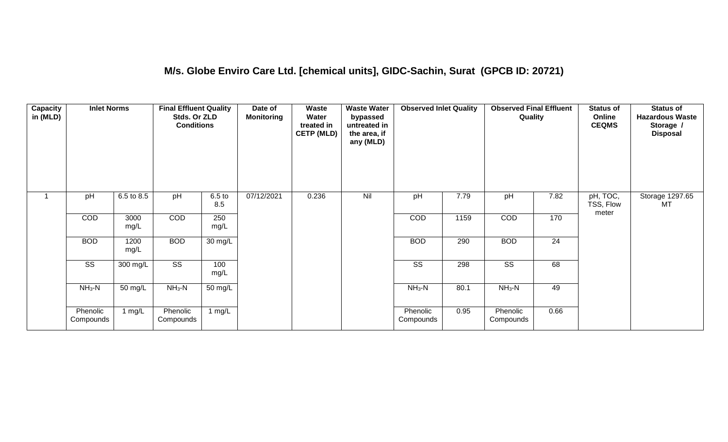#### **M/s. Globe Enviro Care Ltd. [chemical units], GIDC-Sachin, Surat (GPCB ID: 20721)**

| Capacity<br>in (MLD) | <b>Inlet Norms</b>     |                      | <b>Final Effluent Quality</b><br>Stds. Or ZLD<br><b>Conditions</b> |                          | Date of<br>Monitoring | <b>Waste</b><br>Water<br>treated in<br><b>CETP (MLD)</b> | <b>Waste Water</b><br>bypassed<br>untreated in<br>the area, if<br>any (MLD) | <b>Observed Inlet Quality</b> |      | <b>Observed Final Effluent</b><br>Quality |      | <b>Status of</b><br>Online<br><b>CEQMS</b> | <b>Status of</b><br><b>Hazardous Waste</b><br>Storage /<br><b>Disposal</b> |
|----------------------|------------------------|----------------------|--------------------------------------------------------------------|--------------------------|-----------------------|----------------------------------------------------------|-----------------------------------------------------------------------------|-------------------------------|------|-------------------------------------------|------|--------------------------------------------|----------------------------------------------------------------------------|
|                      | pH                     | 6.5 to 8.5           | pH                                                                 | 6.5 <sub>to</sub><br>8.5 | 07/12/2021            | 0.236                                                    | Nil                                                                         | pH                            | 7.79 | pH                                        | 7.82 | pH, TOC,<br>TSS, Flow<br>meter             | Storage 1297.65<br>MT                                                      |
|                      | COD                    | 3000<br>mg/L         | COD                                                                | 250<br>mg/L              |                       |                                                          |                                                                             | COD                           | 1159 | COD                                       | 170  |                                            |                                                                            |
|                      | <b>BOD</b>             | 1200<br>mg/L         | <b>BOD</b>                                                         | $30 \text{ mg/L}$        |                       |                                                          |                                                                             | <b>BOD</b>                    | 290  | <b>BOD</b>                                | 24   |                                            |                                                                            |
|                      | $\overline{\text{ss}}$ | 300 mg/L             | $\overline{\text{ss}}$                                             | 100<br>mg/L              |                       |                                                          |                                                                             | $\overline{\text{ss}}$        | 298  | $\overline{\text{ss}}$                    | 68   |                                            |                                                                            |
|                      | $NH3-N$                | $\overline{50}$ mg/L | $NH3-N$                                                            | 50 mg/L                  |                       |                                                          |                                                                             | $NH3-N$                       | 80.1 | $NH3-N$                                   | 49   |                                            |                                                                            |
|                      | Phenolic<br>Compounds  | 1 $mg/L$             | Phenolic<br>Compounds                                              | 1 $mg/L$                 |                       |                                                          |                                                                             | Phenolic<br>Compounds         | 0.95 | Phenolic<br>Compounds                     | 0.66 |                                            |                                                                            |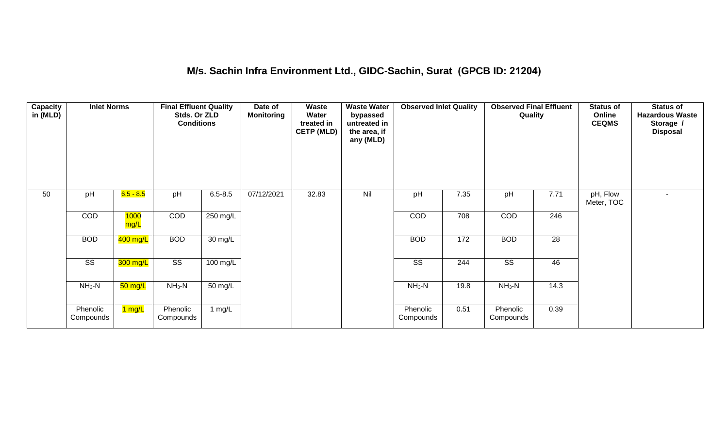#### **M/s. Sachin Infra Environment Ltd., GIDC-Sachin, Surat (GPCB ID: 21204)**

| Capacity<br>in (MLD) | <b>Inlet Norms</b>     |                     | <b>Final Effluent Quality</b><br>Stds. Or ZLD<br><b>Conditions</b> |             | Date of<br><b>Monitoring</b> | Waste<br>Water<br>treated in<br><b>CETP (MLD)</b> | <b>Waste Water</b><br>bypassed<br>untreated in<br>the area, if<br>any (MLD) | <b>Observed Inlet Quality</b> |                 | <b>Observed Final Effluent</b><br>Quality |                  | <b>Status of</b><br>Online<br><b>CEQMS</b> | <b>Status of</b><br><b>Hazardous Waste</b><br>Storage /<br><b>Disposal</b> |
|----------------------|------------------------|---------------------|--------------------------------------------------------------------|-------------|------------------------------|---------------------------------------------------|-----------------------------------------------------------------------------|-------------------------------|-----------------|-------------------------------------------|------------------|--------------------------------------------|----------------------------------------------------------------------------|
| 50                   | pH                     | $6.5 - 8.5$         | pH                                                                 | $6.5 - 8.5$ | 07/12/2021                   | 32.83                                             | Nil                                                                         | pH                            | 7.35            | pH                                        | 7.71             | pH, Flow<br>Meter, TOC                     | $\overline{\phantom{0}}$                                                   |
|                      | COD                    | <b>1000</b><br>mg/L | COD                                                                | 250 mg/L    |                              |                                                   |                                                                             | COD                           | 708             | COD                                       | $\overline{246}$ |                                            |                                                                            |
|                      | <b>BOD</b>             | 400 mg/L            | <b>BOD</b>                                                         | 30 mg/L     |                              |                                                   |                                                                             | <b>BOD</b>                    | $\frac{1}{172}$ | <b>BOD</b>                                | 28               |                                            |                                                                            |
|                      | $\overline{\text{SS}}$ | 300 mg/L            | $\overline{\text{SS}}$                                             | 100 mg/L    |                              |                                                   |                                                                             | $\overline{\text{SS}}$        | 244             | $\overline{\text{SS}}$                    | 46               |                                            |                                                                            |
|                      | $NH3-N$                | 50 mg/L             | $NH3-N$                                                            | 50 mg/L     |                              |                                                   |                                                                             | $NH3-N$                       | 19.8            | $NH3-N$                                   | 14.3             |                                            |                                                                            |
|                      | Phenolic<br>Compounds  | <mark>1 mg/L</mark> | Phenolic<br>Compounds                                              | 1 mg/L      |                              |                                                   |                                                                             | Phenolic<br>Compounds         | 0.51            | Phenolic<br>Compounds                     | 0.39             |                                            |                                                                            |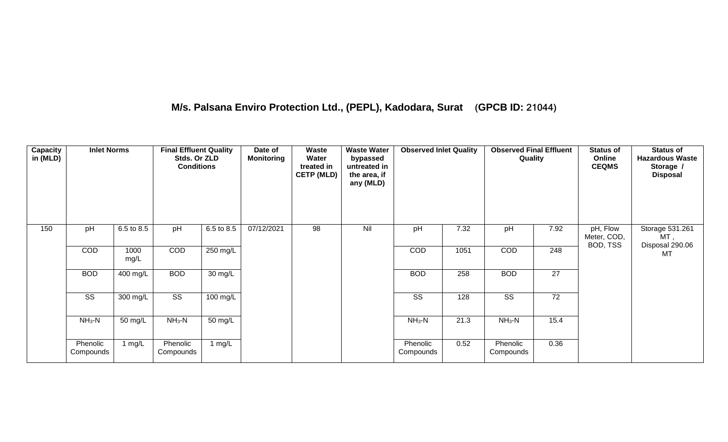#### **M/s. Palsana Enviro Protection Ltd., (PEPL), Kadodara, Surat (GPCB ID: 21044)**

| Capacity<br>in (MLD) | <b>Inlet Norms</b>     |              | <b>Final Effluent Quality</b><br>Stds. Or ZLD<br><b>Conditions</b> |            | Date of<br>Monitoring | Waste<br>Water<br>treated in<br><b>CETP (MLD)</b> | <b>Waste Water</b><br>bypassed<br>untreated in<br>the area, if<br>any (MLD) | <b>Observed Inlet Quality</b> |      | <b>Observed Final Effluent</b><br>Quality |                 | <b>Status of</b><br>Online<br><b>CEQMS</b> | <b>Status of</b><br><b>Hazardous Waste</b><br>Storage /<br><b>Disposal</b> |
|----------------------|------------------------|--------------|--------------------------------------------------------------------|------------|-----------------------|---------------------------------------------------|-----------------------------------------------------------------------------|-------------------------------|------|-------------------------------------------|-----------------|--------------------------------------------|----------------------------------------------------------------------------|
| 150                  | pH                     | 6.5 to 8.5   | pH                                                                 | 6.5 to 8.5 | 07/12/2021            | 98                                                | Nil                                                                         | pH                            | 7.32 | pH                                        | 7.92            | pH, Flow<br>Meter, COD,<br>BOD, TSS        | Storage 531.261<br>MT ,                                                    |
|                      | COD                    | 1000<br>mg/L | COD                                                                | 250 mg/L   |                       |                                                   |                                                                             | COD                           | 1051 | COD                                       | 248             |                                            | Disposal 290.06<br>MT                                                      |
|                      | <b>BOD</b>             | 400 mg/L     | <b>BOD</b>                                                         | 30 mg/L    |                       |                                                   |                                                                             | <b>BOD</b>                    | 258  | <b>BOD</b>                                | 27              |                                            |                                                                            |
|                      | $\overline{\text{SS}}$ | 300 mg/L     | $\overline{\text{ss}}$                                             | $100$ mg/L |                       |                                                   |                                                                             | $\overline{\text{ss}}$        | 128  | $\overline{\text{SS}}$                    | $\overline{72}$ |                                            |                                                                            |
|                      | $NH3-N$                | 50 mg/L      | $NH3-N$                                                            | 50 mg/L    |                       |                                                   |                                                                             | $NH_3-N$                      | 21.3 | $NH_3-N$                                  | 15.4            |                                            |                                                                            |
|                      | Phenolic<br>Compounds  | 1 mg/L       | Phenolic<br>Compounds                                              | 1 mg/L     |                       |                                                   |                                                                             | Phenolic<br>Compounds         | 0.52 | Phenolic<br>Compounds                     | 0.36            |                                            |                                                                            |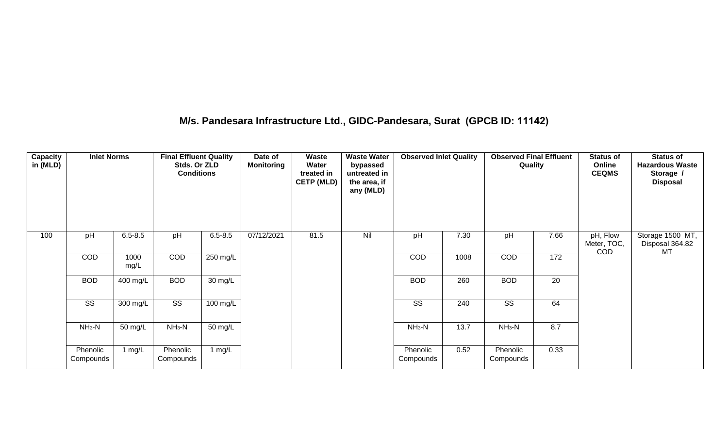#### **M/s. Pandesara Infrastructure Ltd., GIDC-Pandesara, Surat (GPCB ID: 11142)**

| <b>Capacity</b><br>in (MLD) | <b>Inlet Norms</b>    |              | <b>Final Effluent Quality</b><br>Stds. Or ZLD<br><b>Conditions</b> |                    | Date of<br><b>Monitoring</b> | <b>Waste</b><br>Water<br>treated in<br><b>CETP (MLD)</b> | <b>Waste Water</b><br>bypassed<br>untreated in<br>the area, if<br>any (MLD) | <b>Observed Inlet Quality</b> |      | <b>Observed Final Effluent</b><br>Quality |      | <b>Status of</b><br>Online<br><b>CEQMS</b> | <b>Status of</b><br><b>Hazardous Waste</b><br>Storage /<br><b>Disposal</b> |
|-----------------------------|-----------------------|--------------|--------------------------------------------------------------------|--------------------|------------------------------|----------------------------------------------------------|-----------------------------------------------------------------------------|-------------------------------|------|-------------------------------------------|------|--------------------------------------------|----------------------------------------------------------------------------|
| 100                         | pH                    | $6.5 - 8.5$  | pH                                                                 | $6.5 - 8.5$        | 07/12/2021                   | 81.5                                                     | Nil                                                                         | pH                            | 7.30 | pH                                        | 7.66 | pH, Flow<br>Meter, TOC,<br><b>COD</b>      | Storage 1500 MT,<br>Disposal 364.82<br>MT                                  |
|                             | COD                   | 1000<br>mg/L | COD                                                                | $250$ mg/L         |                              |                                                          |                                                                             | COD                           | 1008 | COD                                       | 172  |                                            |                                                                            |
|                             | <b>BOD</b>            | 400 mg/L     | <b>BOD</b>                                                         | 30 mg/L            |                              |                                                          |                                                                             | <b>BOD</b>                    | 260  | <b>BOD</b>                                | 20   |                                            |                                                                            |
|                             | SS                    | 300 mg/L     | $\overline{\text{ss}}$                                             | $100 \text{ mg/L}$ |                              |                                                          |                                                                             | SS                            | 240  | SS                                        | 64   |                                            |                                                                            |
|                             | $NH3-N$               | 50 mg/L      | $NH_3-N$                                                           | 50 mg/L            |                              |                                                          |                                                                             | $NH3-N$                       | 13.7 | $NH_3-N$                                  | 8.7  |                                            |                                                                            |
|                             | Phenolic<br>Compounds | 1 mg/L       | Phenolic<br>Compounds                                              | 1 $mg/L$           |                              |                                                          |                                                                             | Phenolic<br>Compounds         | 0.52 | Phenolic<br>Compounds                     | 0.33 |                                            |                                                                            |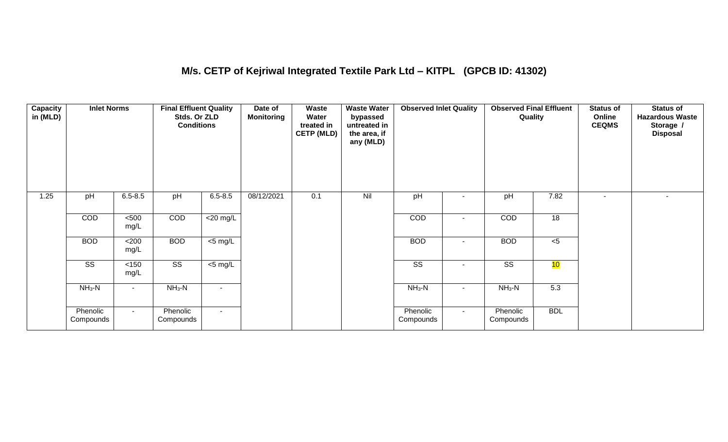#### **M/s. CETP of Kejriwal Integrated Textile Park Ltd – KITPL (GPCB ID: 41302)**

| Capacity<br>in (MLD) | <b>Inlet Norms</b>     |               | <b>Final Effluent Quality</b><br>Stds. Or ZLD<br><b>Conditions</b> |                | Date of<br><b>Monitoring</b> | Waste<br>Water<br>treated in<br><b>CETP (MLD)</b> | <b>Waste Water</b><br>bypassed<br>untreated in<br>the area, if<br>any (MLD) | <b>Observed Inlet Quality</b> |                          | <b>Observed Final Effluent</b><br>Quality |            | <b>Status of</b><br>Online<br><b>CEQMS</b> | <b>Status of</b><br><b>Hazardous Waste</b><br>Storage /<br><b>Disposal</b> |
|----------------------|------------------------|---------------|--------------------------------------------------------------------|----------------|------------------------------|---------------------------------------------------|-----------------------------------------------------------------------------|-------------------------------|--------------------------|-------------------------------------------|------------|--------------------------------------------|----------------------------------------------------------------------------|
| 1.25                 | pH                     | $6.5 - 8.5$   | pH                                                                 | $6.5 - 8.5$    | 08/12/2021                   | 0.1                                               | Nil                                                                         | pH                            |                          | pH                                        | 7.82       | $\overline{\phantom{a}}$                   | $\overline{\phantom{a}}$                                                   |
|                      | COD                    | $500$<br>mg/L | COD                                                                | $<$ 20 mg/L    |                              |                                                   |                                                                             | <b>COD</b>                    |                          | <b>COD</b>                                | 18         |                                            |                                                                            |
|                      | <b>BOD</b>             | $200$<br>mg/L | <b>BOD</b>                                                         | $<$ 5 mg/L     |                              |                                                   |                                                                             | <b>BOD</b>                    | $\blacksquare$           | <b>BOD</b>                                | $< 5$      |                                            |                                                                            |
|                      | $\overline{\text{SS}}$ | < 150<br>mg/L | $\overline{\text{ss}}$                                             | $<$ 5 mg/L     |                              |                                                   |                                                                             | $\overline{\text{ss}}$        | $\overline{\phantom{a}}$ | $\overline{\text{ss}}$                    | 10         |                                            |                                                                            |
|                      | $NH3-N$                |               | $NH3-N$                                                            | $\blacksquare$ |                              |                                                   |                                                                             | $NH3-N$                       | $\overline{\phantom{0}}$ | $NH3-N$                                   | 5.3        |                                            |                                                                            |
|                      | Phenolic<br>Compounds  | $\sim$        | Phenolic<br>Compounds                                              | $\sim$         |                              |                                                   |                                                                             | Phenolic<br>Compounds         | $\sim$                   | Phenolic<br>Compounds                     | <b>BDL</b> |                                            |                                                                            |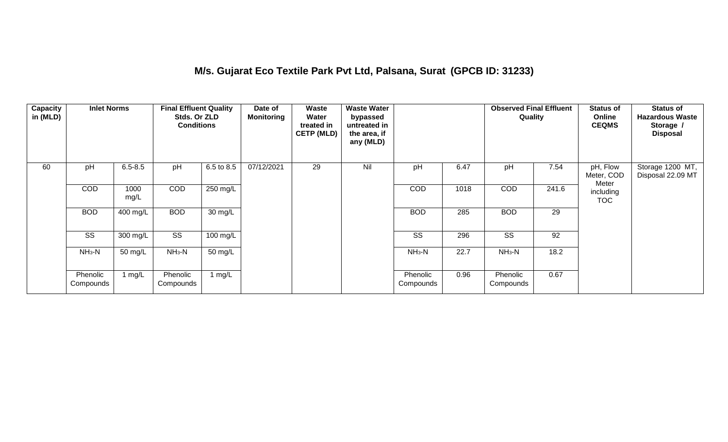#### **M/s. Gujarat Eco Textile Park Pvt Ltd, Palsana, Surat (GPCB ID: 31233)**

| Capacity<br>in (MLD) | <b>Inlet Norms</b>    |              | <b>Final Effluent Quality</b><br>Stds. Or ZLD<br><b>Conditions</b> |                    | Date of<br><b>Monitoring</b> | Waste<br>Water<br>treated in<br><b>CETP (MLD)</b> | <b>Waste Water</b><br>bypassed<br>untreated in<br>the area, if<br>any (MLD) |                       |      | <b>Observed Final Effluent</b><br>Quality |       | <b>Status of</b><br>Online<br><b>CEQMS</b> | <b>Status of</b><br><b>Hazardous Waste</b><br>Storage /<br><b>Disposal</b> |
|----------------------|-----------------------|--------------|--------------------------------------------------------------------|--------------------|------------------------------|---------------------------------------------------|-----------------------------------------------------------------------------|-----------------------|------|-------------------------------------------|-------|--------------------------------------------|----------------------------------------------------------------------------|
| 60                   | pH                    | $6.5 - 8.5$  | pH                                                                 | 6.5 to 8.5         | 07/12/2021                   | 29                                                | Nil                                                                         | pH                    | 6.47 | pH                                        | 7.54  | pH, Flow<br>Meter, COD                     | Storage 1200 MT,<br>Disposal 22.09 MT                                      |
|                      | <b>COD</b>            | 1000<br>mg/L | <b>COD</b>                                                         | 250 mg/L           |                              |                                                   |                                                                             | COD                   | 1018 | <b>COD</b>                                | 241.6 | Meter<br>including<br><b>TOC</b>           |                                                                            |
|                      | <b>BOD</b>            | 400 mg/L     | <b>BOD</b>                                                         | 30 mg/L            |                              |                                                   |                                                                             | <b>BOD</b>            | 285  | <b>BOD</b>                                | 29    |                                            |                                                                            |
|                      | SS                    | 300 mg/L     | SS                                                                 | $100 \text{ mg/L}$ |                              |                                                   |                                                                             | SS                    | 296  | SS                                        | 92    |                                            |                                                                            |
|                      | $NH3-N$               | 50 mg/L      | $NH3-N$                                                            | 50 mg/L            |                              |                                                   |                                                                             | $NH3-N$               | 22.7 | $NH_3-N$                                  | 18.2  |                                            |                                                                            |
|                      | Phenolic<br>Compounds | 1 $mg/L$     | Phenolic<br>Compounds                                              | 1 $mg/L$           |                              |                                                   |                                                                             | Phenolic<br>Compounds | 0.96 | Phenolic<br>Compounds                     | 0.67  |                                            |                                                                            |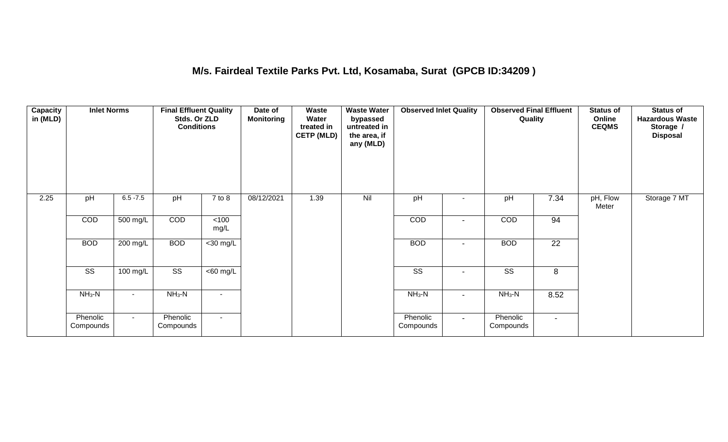#### **M/s. Fairdeal Textile Parks Pvt. Ltd, Kosamaba, Surat (GPCB ID:34209 )**

| Capacity<br>in (MLD) | <b>Inlet Norms</b>    |             | <b>Final Effluent Quality</b><br>Stds. Or ZLD<br><b>Conditions</b> |                       | Date of<br><b>Monitoring</b> | Waste<br>Water<br>treated in<br><b>CETP (MLD)</b> | <b>Waste Water</b><br>bypassed<br>untreated in<br>the area, if<br>any (MLD) | <b>Observed Inlet Quality</b> |                          | <b>Observed Final Effluent</b><br>Quality |                | <b>Status of</b><br>Online<br><b>CEQMS</b> | <b>Status of</b><br><b>Hazardous Waste</b><br>Storage /<br><b>Disposal</b> |
|----------------------|-----------------------|-------------|--------------------------------------------------------------------|-----------------------|------------------------------|---------------------------------------------------|-----------------------------------------------------------------------------|-------------------------------|--------------------------|-------------------------------------------|----------------|--------------------------------------------|----------------------------------------------------------------------------|
| 2.25                 | pH                    | $6.5 - 7.5$ | pH                                                                 | 7 to 8                | 08/12/2021                   | 1.39                                              | Nil                                                                         | pH                            |                          | pH                                        | 7.34           | pH, Flow<br>Meter                          | Storage 7 MT                                                               |
|                      | COD                   | 500 mg/L    | COD                                                                | $<$ 100<br>mg/L       |                              |                                                   |                                                                             | COD                           |                          | COD                                       | 94             |                                            |                                                                            |
|                      | <b>BOD</b>            | $200$ mg/L  | <b>BOD</b>                                                         | $<$ 30 mg/L           |                              |                                                   |                                                                             | <b>BOD</b>                    | $\overline{\phantom{a}}$ | <b>BOD</b>                                | 22             |                                            |                                                                            |
|                      | SS                    | 100 mg/L    | SS                                                                 | $\overline{<}60$ mg/L |                              |                                                   |                                                                             | SS                            | $\overline{\phantom{a}}$ | SS                                        | 8              |                                            |                                                                            |
|                      | $NH_3-N$              | н.          | $NH_3-N$                                                           | $\blacksquare$        |                              |                                                   |                                                                             | $NH3-N$                       | $\overline{\phantom{a}}$ | $NH_3-N$                                  | 8.52           |                                            |                                                                            |
|                      | Phenolic<br>Compounds | $\sim$      | Phenolic<br>Compounds                                              | $\sim$                |                              |                                                   |                                                                             | Phenolic<br>Compounds         | $\sim$                   | Phenolic<br>Compounds                     | $\blacksquare$ |                                            |                                                                            |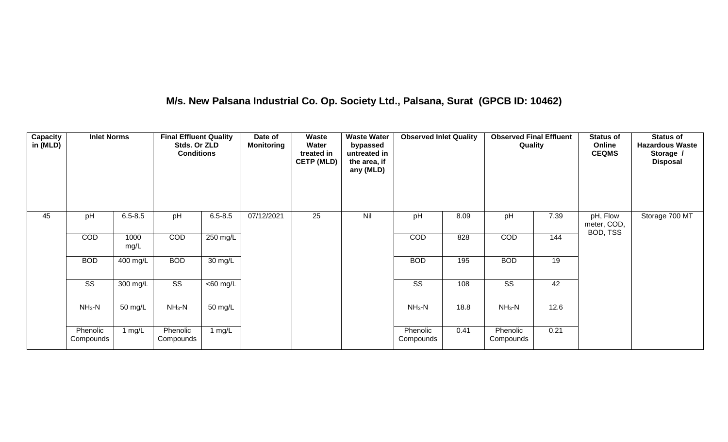## **M/s. New Palsana Industrial Co. Op. Society Ltd., Palsana, Surat (GPCB ID: 10462)**

| <b>Capacity</b><br>in (MLD) | <b>Inlet Norms</b>    |              | <b>Final Effluent Quality</b><br>Stds. Or ZLD<br><b>Conditions</b> |             | Date of<br><b>Monitoring</b> | Waste<br>Water<br>treated in<br><b>CETP (MLD)</b> | <b>Waste Water</b><br>bypassed<br>untreated in<br>the area, if<br>any (MLD) | <b>Observed Inlet Quality</b> |      | <b>Observed Final Effluent</b><br>Quality |      | <b>Status of</b><br>Online<br><b>CEQMS</b> | <b>Status of</b><br><b>Hazardous Waste</b><br>Storage /<br><b>Disposal</b> |
|-----------------------------|-----------------------|--------------|--------------------------------------------------------------------|-------------|------------------------------|---------------------------------------------------|-----------------------------------------------------------------------------|-------------------------------|------|-------------------------------------------|------|--------------------------------------------|----------------------------------------------------------------------------|
| 45                          | pH                    | $6.5 - 8.5$  | pH                                                                 | $6.5 - 8.5$ | 07/12/2021                   | 25                                                | Nil                                                                         | pH                            | 8.09 | pH                                        | 7.39 | pH, Flow<br>meter, COD,                    | Storage 700 MT                                                             |
|                             | <b>COD</b>            | 1000<br>mg/L | COD                                                                | 250 mg/L    |                              |                                                   |                                                                             | <b>COD</b>                    | 828  | COD                                       | 144  | BOD, TSS                                   |                                                                            |
|                             | <b>BOD</b>            | 400 mg/L     | <b>BOD</b>                                                         | 30 mg/L     |                              |                                                   |                                                                             | <b>BOD</b>                    | 195  | <b>BOD</b>                                | 19   |                                            |                                                                            |
|                             | SS                    | 300 mg/L     | SS                                                                 | $<$ 60 mg/L |                              |                                                   |                                                                             | SS                            | 108  | SS                                        | 42   |                                            |                                                                            |
|                             | $NH3-N$               | 50 mg/L      | $NH3-N$                                                            | 50 mg/L     |                              |                                                   |                                                                             | $NH3-N$                       | 18.8 | $NH3-N$                                   | 12.6 |                                            |                                                                            |
|                             | Phenolic<br>Compounds | 1 $mg/L$     | Phenolic<br>Compounds                                              | 1 mg/L      |                              |                                                   |                                                                             | Phenolic<br>Compounds         | 0.41 | Phenolic<br>Compounds                     | 0.21 |                                            |                                                                            |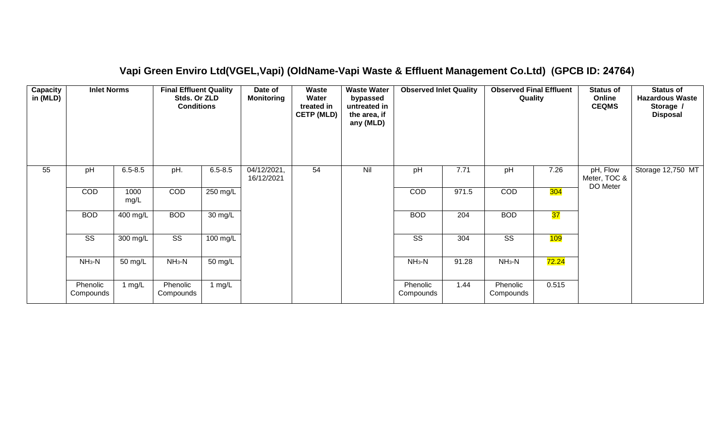| Capacity<br>in (MLD) | <b>Inlet Norms</b>     |              | <b>Final Effluent Quality</b><br>Stds. Or ZLD<br><b>Conditions</b> |             | Date of<br><b>Monitoring</b> | <b>Waste</b><br>Water<br>treated in<br><b>CETP (MLD)</b> | <b>Waste Water</b><br>bypassed<br>untreated in<br>the area, if<br>any (MLD) | <b>Observed Inlet Quality</b> |       | <b>Observed Final Effluent</b><br>Quality |       | <b>Status of</b><br>Online<br><b>CEQMS</b> | <b>Status of</b><br><b>Hazardous Waste</b><br>Storage /<br><b>Disposal</b> |
|----------------------|------------------------|--------------|--------------------------------------------------------------------|-------------|------------------------------|----------------------------------------------------------|-----------------------------------------------------------------------------|-------------------------------|-------|-------------------------------------------|-------|--------------------------------------------|----------------------------------------------------------------------------|
| 55                   | pH                     | $6.5 - 8.5$  | pH.                                                                | $6.5 - 8.5$ | 04/12/2021,<br>16/12/2021    | 54                                                       | Nil                                                                         | pH                            | 7.71  | pH                                        | 7.26  | pH, Flow<br>Meter, TOC &<br>DO Meter       | Storage 12,750 MT                                                          |
|                      | COD                    | 1000<br>mg/L | COD                                                                | 250 mg/L    |                              |                                                          |                                                                             | COD                           | 971.5 | COD                                       | 304   |                                            |                                                                            |
|                      | <b>BOD</b>             | 400 mg/L     | <b>BOD</b>                                                         | 30 mg/L     |                              |                                                          |                                                                             | <b>BOD</b>                    | 204   | <b>BOD</b>                                | 37    |                                            |                                                                            |
|                      | $\overline{\text{ss}}$ | 300 mg/L     | $\overline{\text{ss}}$                                             | 100 mg/L    |                              |                                                          |                                                                             | $\overline{\text{SS}}$        | 304   | $\overline{\text{SS}}$                    | 109   |                                            |                                                                            |
|                      | $NH3-N$                | 50 mg/L      | $NH3-N$                                                            | 50 mg/L     |                              |                                                          |                                                                             | $NH3-N$                       | 91.28 | $NH3-N$                                   | 72.24 |                                            |                                                                            |
|                      | Phenolic<br>Compounds  | 1 $mg/L$     | Phenolic<br>Compounds                                              | 1 $mg/L$    |                              |                                                          |                                                                             | Phenolic<br>Compounds         | 1.44  | Phenolic<br>Compounds                     | 0.515 |                                            |                                                                            |

#### **Vapi Green Enviro Ltd(VGEL,Vapi) (OldName-Vapi Waste & Effluent Management Co.Ltd) (GPCB ID: 24764)**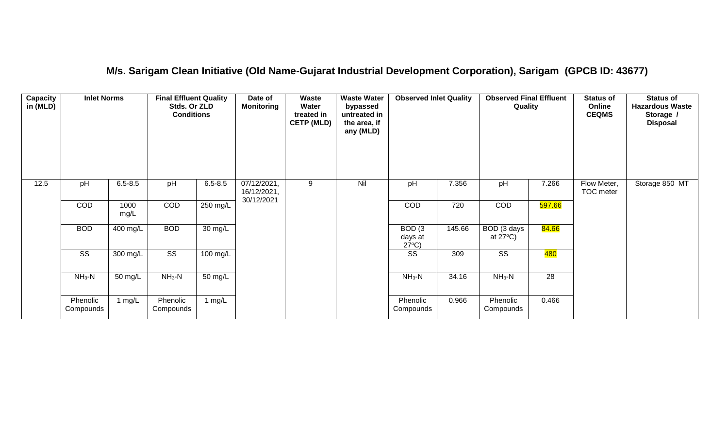#### **M/s. Sarigam Clean Initiative (Old Name-Gujarat Industrial Development Corporation), Sarigam (GPCB ID: 43677)**

| Capacity<br>in (MLD) | <b>Inlet Norms</b>     |                       | <b>Final Effluent Quality</b><br>Stds. Or ZLD<br><b>Conditions</b> |                      | Date of<br><b>Monitoring</b>             | Waste<br>Water<br>treated in<br><b>CETP (MLD)</b> | <b>Waste Water</b><br>bypassed<br>untreated in<br>the area, if<br>any (MLD) | <b>Observed Inlet Quality</b>        |        | <b>Observed Final Effluent</b><br>Quality |                  | <b>Status of</b><br>Online<br><b>CEQMS</b> | <b>Status of</b><br><b>Hazardous Waste</b><br>Storage /<br><b>Disposal</b> |
|----------------------|------------------------|-----------------------|--------------------------------------------------------------------|----------------------|------------------------------------------|---------------------------------------------------|-----------------------------------------------------------------------------|--------------------------------------|--------|-------------------------------------------|------------------|--------------------------------------------|----------------------------------------------------------------------------|
| 12.5                 | pH                     | $6.5 - 8.5$           | pH                                                                 | $6.5 - 8.5$          | 07/12/2021,<br>16/12/2021,<br>30/12/2021 | 9                                                 | Nil                                                                         | pH                                   | 7.356  | pH                                        | 7.266            | Flow Meter,<br><b>TOC</b> meter            | Storage 850 MT                                                             |
|                      | COD                    | 1000<br>mg/L          | COD                                                                | 250 mg/L             |                                          |                                                   |                                                                             | COD                                  | 720    | COD                                       | 597.66           |                                            |                                                                            |
|                      | <b>BOD</b>             | $\overline{400}$ mg/L | <b>BOD</b>                                                         | 30 mg/L              |                                          |                                                   |                                                                             | BOD(3)<br>days at<br>$27^{\circ}C$ ) | 145.66 | BOD (3 days<br>at $27^{\circ}$ C)         | 84.66            |                                            |                                                                            |
|                      | $\overline{\text{ss}}$ | 300 mg/L              | $\overline{\text{ss}}$                                             | $100$ mg/L           |                                          |                                                   |                                                                             | $\overline{\text{ss}}$               | 309    | $\overline{\text{ss}}$                    | <mark>480</mark> |                                            |                                                                            |
|                      | $NH3-N$                | 50 mg/L               | $NH3-N$                                                            | $\overline{50}$ mg/L |                                          |                                                   |                                                                             | $NH3-N$                              | 34.16  | $NH3-N$                                   | 28               |                                            |                                                                            |
|                      | Phenolic<br>Compounds  | 1 $mg/L$              | Phenolic<br>Compounds                                              | 1 $mg/L$             |                                          |                                                   |                                                                             | Phenolic<br>Compounds                | 0.966  | Phenolic<br>Compounds                     | 0.466            |                                            |                                                                            |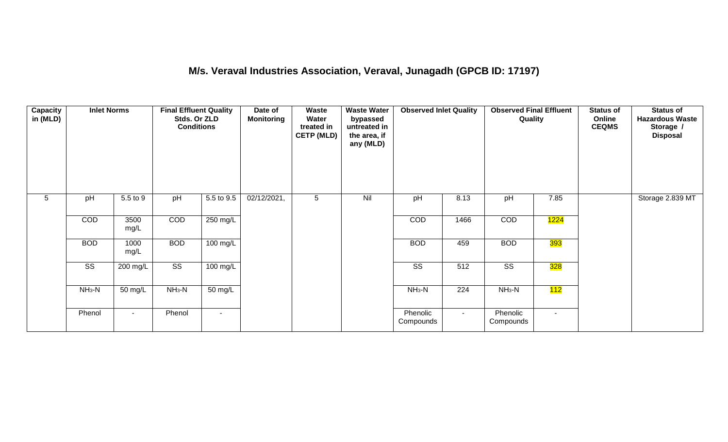## **M/s. Veraval Industries Association, Veraval, Junagadh (GPCB ID: 17197)**

| <b>Capacity</b><br>in (MLD) | <b>Inlet Norms</b>     |                      | <b>Final Effluent Quality</b><br>Stds. Or ZLD<br><b>Conditions</b> |                | Date of<br><b>Monitoring</b> | Waste<br>Water<br>treated in<br><b>CETP (MLD)</b> | <b>Waste Water</b><br>bypassed<br>untreated in<br>the area, if<br>any (MLD) | <b>Observed Inlet Quality</b> |                  | <b>Observed Final Effluent</b><br>Quality |                   | <b>Status of</b><br>Online<br><b>CEQMS</b> | <b>Status of</b><br><b>Hazardous Waste</b><br>Storage /<br><b>Disposal</b> |
|-----------------------------|------------------------|----------------------|--------------------------------------------------------------------|----------------|------------------------------|---------------------------------------------------|-----------------------------------------------------------------------------|-------------------------------|------------------|-------------------------------------------|-------------------|--------------------------------------------|----------------------------------------------------------------------------|
| $5\phantom{.0}$             | pH                     | 5.5 to 9             | pH                                                                 | 5.5 to 9.5     | 02/12/2021,                  | 5                                                 | Nil                                                                         | pH                            | 8.13             | pH                                        | 7.85              |                                            | Storage 2.839 MT                                                           |
|                             | COD                    | 3500<br>mg/L         | COD                                                                | 250 mg/L       |                              |                                                   |                                                                             | COD                           | 1466             | COD                                       | <mark>1224</mark> |                                            |                                                                            |
|                             | <b>BOD</b>             | 1000<br>mg/L         | <b>BOD</b>                                                         | 100 mg/L       |                              |                                                   |                                                                             | <b>BOD</b>                    | 459              | <b>BOD</b>                                | <mark>393</mark>  |                                            |                                                                            |
|                             | $\overline{\text{ss}}$ | 200 mg/L             | $\overline{\text{ss}}$                                             | 100 mg/L       |                              |                                                   |                                                                             | $\overline{\text{ss}}$        | $\overline{512}$ | $\overline{\text{ss}}$                    | 328               |                                            |                                                                            |
|                             | $NH3-N$                | $\overline{50}$ mg/L | $NH3-N$                                                            | 50 mg/L        |                              |                                                   |                                                                             | $NH3-N$                       | $\overline{224}$ | $NH3-N$                                   | 112               |                                            |                                                                            |
|                             | Phenol                 | $\sim$               | Phenol                                                             | $\blacksquare$ |                              |                                                   |                                                                             | Phenolic<br>Compounds         | $\sim$           | Phenolic<br>Compounds                     | $\sim$            |                                            |                                                                            |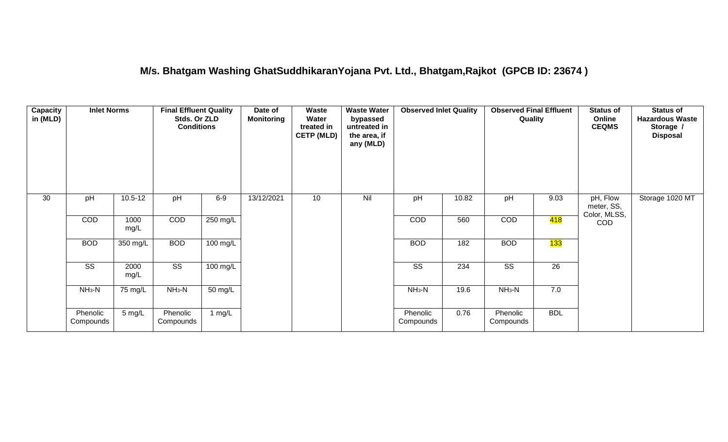#### **M/s. Bhatgam Washing GhatSuddhikaranYojana Pvt. Ltd., Bhatgam,Rajkot (GPCB ID: 23674 )**

| Capacity<br>in (MLD) | <b>Inlet Norms</b>     |                      | <b>Final Effluent Quality</b><br>Stds. Or ZLD<br><b>Conditions</b> |                      | Date of<br><b>Monitoring</b> | Waste<br>Water<br>treated in<br><b>CETP (MLD)</b> | <b>Waste Water</b><br>bypassed<br>untreated in<br>the area, if<br>any (MLD) | <b>Observed Inlet Quality</b> |       | <b>Observed Final Effluent</b><br>Quality |                  | <b>Status of</b><br>Online<br><b>CEQMS</b> | <b>Status of</b><br><b>Hazardous Waste</b><br>Storage /<br><b>Disposal</b> |
|----------------------|------------------------|----------------------|--------------------------------------------------------------------|----------------------|------------------------------|---------------------------------------------------|-----------------------------------------------------------------------------|-------------------------------|-------|-------------------------------------------|------------------|--------------------------------------------|----------------------------------------------------------------------------|
| 30                   | pH                     | $10.5 - 12$          | pH                                                                 | $6-9$                | 13/12/2021                   | 10                                                | Nil                                                                         | pH                            | 10.82 | pH                                        | 9.03             | pH, Flow<br>meter, SS,<br>Color, MLSS,     | Storage 1020 MT                                                            |
|                      | COD                    | 1000<br>mg/L         | COD                                                                | $250$ mg/L           |                              |                                                   |                                                                             | COD                           | 560   | COD                                       | <mark>418</mark> | COD                                        |                                                                            |
|                      | <b>BOD</b>             | 350 mg/L             | <b>BOD</b>                                                         | 100 mg/L             |                              |                                                   |                                                                             | <b>BOD</b>                    | 182   | <b>BOD</b>                                | 133              |                                            |                                                                            |
|                      | $\overline{\text{ss}}$ | 2000<br>mg/L         | $\overline{\text{SS}}$                                             | $100$ mg/L           |                              |                                                   |                                                                             | $\overline{\text{SS}}$        | 234   | $\overline{\text{SS}}$                    | $\overline{26}$  |                                            |                                                                            |
|                      | $NH3-N$                | $\overline{75}$ mg/L | $NH3-N$                                                            | $\overline{50}$ mg/L |                              |                                                   |                                                                             | $NH3-N$                       | 19.6  | $NH3-N$                                   | 7.0              |                                            |                                                                            |
|                      | Phenolic<br>Compounds  | $5 \text{ mg/L}$     | Phenolic<br>Compounds                                              | 1 mg/L               |                              |                                                   |                                                                             | Phenolic<br>Compounds         | 0.76  | Phenolic<br>Compounds                     | <b>BDL</b>       |                                            |                                                                            |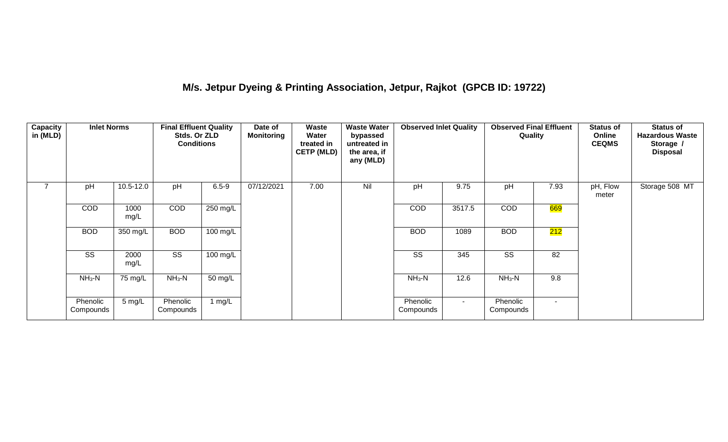## **M/s. Jetpur Dyeing & Printing Association, Jetpur, Rajkot (GPCB ID: 19722)**

| Capacity<br>in (MLD) | <b>Inlet Norms</b>     |              | <b>Final Effluent Quality</b><br>Stds. Or ZLD<br><b>Conditions</b> |                    | Date of<br><b>Monitoring</b> | Waste<br>Water<br>treated in<br><b>CETP (MLD)</b> | <b>Waste Water</b><br>bypassed<br>untreated in<br>the area, if<br>any (MLD) | <b>Observed Inlet Quality</b> |        | <b>Observed Final Effluent</b><br>Quality |        | <b>Status of</b><br>Online<br><b>CEQMS</b> | <b>Status of</b><br><b>Hazardous Waste</b><br>Storage /<br><b>Disposal</b> |
|----------------------|------------------------|--------------|--------------------------------------------------------------------|--------------------|------------------------------|---------------------------------------------------|-----------------------------------------------------------------------------|-------------------------------|--------|-------------------------------------------|--------|--------------------------------------------|----------------------------------------------------------------------------|
| $\overline{7}$       | pH                     | 10.5-12.0    | pH                                                                 | $6.5 - 9$          | 07/12/2021                   | 7.00                                              | Nil                                                                         | pH                            | 9.75   | pH                                        | 7.93   | pH, Flow<br>meter                          | Storage 508 MT                                                             |
|                      | <b>COD</b>             | 1000<br>mg/L | COD                                                                | 250 mg/L           |                              |                                                   |                                                                             | <b>COD</b>                    | 3517.5 | <b>COD</b>                                | 669    |                                            |                                                                            |
|                      | <b>BOD</b>             | 350 mg/L     | <b>BOD</b>                                                         | $100 \text{ mg/L}$ |                              |                                                   |                                                                             | <b>BOD</b>                    | 1089   | <b>BOD</b>                                | 212    |                                            |                                                                            |
|                      | $\overline{\text{SS}}$ | 2000<br>mg/L | $\overline{\text{SS}}$                                             | $100 \text{ mg/L}$ |                              |                                                   |                                                                             | $\overline{\text{SS}}$        | 345    | $\overline{\text{SS}}$                    | 82     |                                            |                                                                            |
|                      | $NH3-N$                | 75 mg/L      | $NH3-N$                                                            | $50 \text{ mg/L}$  |                              |                                                   |                                                                             | $NH3-N$                       | 12.6   | $NH3-N$                                   | 9.8    |                                            |                                                                            |
|                      | Phenolic<br>Compounds  | 5 mg/L       | Phenolic<br>Compounds                                              | 1 $mg/L$           |                              |                                                   |                                                                             | Phenolic<br>Compounds         | $\sim$ | Phenolic<br>Compounds                     | $\sim$ |                                            |                                                                            |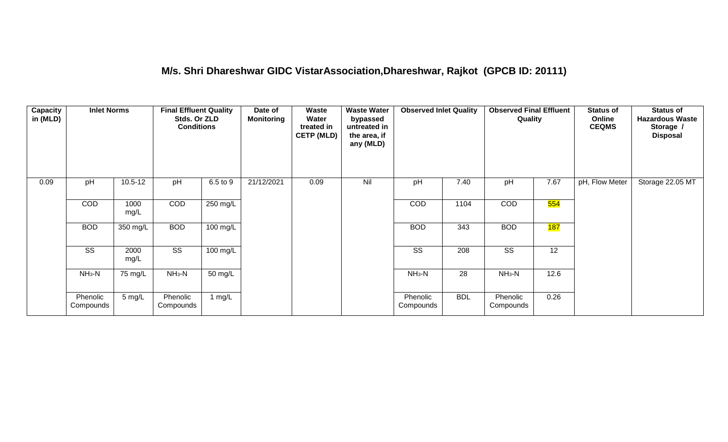#### **M/s. Shri Dhareshwar GIDC VistarAssociation,Dhareshwar, Rajkot (GPCB ID: 20111)**

| Capacity<br>in (MLD) | <b>Inlet Norms</b>    |              | <b>Final Effluent Quality</b><br>Stds. Or ZLD<br><b>Conditions</b> |          | Date of<br><b>Monitoring</b> | Waste<br>Water<br>treated in<br><b>CETP (MLD)</b> | <b>Waste Water</b><br>bypassed<br>untreated in<br>the area, if<br>any (MLD) | <b>Observed Inlet Quality</b> |            | <b>Observed Final Effluent</b><br>Quality |            | <b>Status of</b><br>Online<br><b>CEQMS</b> | <b>Status of</b><br><b>Hazardous Waste</b><br>Storage /<br><b>Disposal</b> |
|----------------------|-----------------------|--------------|--------------------------------------------------------------------|----------|------------------------------|---------------------------------------------------|-----------------------------------------------------------------------------|-------------------------------|------------|-------------------------------------------|------------|--------------------------------------------|----------------------------------------------------------------------------|
| 0.09                 | pH                    | $10.5 - 12$  | pH                                                                 | 6.5 to 9 | 21/12/2021                   | 0.09                                              | Nil                                                                         | pH                            | 7.40       | pH                                        | 7.67       | pH, Flow Meter                             | Storage 22.05 MT                                                           |
|                      | COD                   | 1000<br>mg/L | COD                                                                | 250 mg/L |                              |                                                   |                                                                             | COD                           | 1104       | COD                                       | 554        |                                            |                                                                            |
|                      | <b>BOD</b>            | 350 mg/L     | <b>BOD</b>                                                         | 100 mg/L |                              |                                                   |                                                                             | <b>BOD</b>                    | 343        | <b>BOD</b>                                | <b>187</b> |                                            |                                                                            |
|                      | SS                    | 2000<br>mg/L | SS                                                                 | 100 mg/L |                              |                                                   |                                                                             | SS                            | 208        | SS                                        | 12         |                                            |                                                                            |
|                      | $NH_3-N$              | 75 mg/L      | $NH3-N$                                                            | 50 mg/L  |                              |                                                   |                                                                             | $NH3-N$                       | 28         | $NH3-N$                                   | 12.6       |                                            |                                                                            |
|                      | Phenolic<br>Compounds | 5 mg/L       | Phenolic<br>Compounds                                              | 1 $mg/L$ |                              |                                                   |                                                                             | Phenolic<br>Compounds         | <b>BDL</b> | Phenolic<br>Compounds                     | 0.26       |                                            |                                                                            |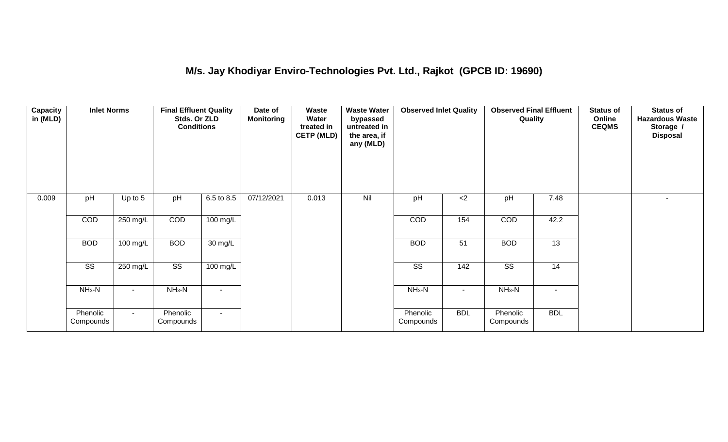## **M/s. Jay Khodiyar Enviro-Technologies Pvt. Ltd., Rajkot (GPCB ID: 19690)**

| <b>Capacity</b><br>in (MLD) | <b>Inlet Norms</b>     |            | <b>Final Effluent Quality</b><br>Stds. Or ZLD<br><b>Conditions</b> |                    | Date of<br><b>Monitoring</b> | Waste<br>Water<br>treated in<br><b>CETP (MLD)</b> | <b>Waste Water</b><br>bypassed<br>untreated in<br>the area, if<br>any (MLD) | <b>Observed Inlet Quality</b> |                | <b>Observed Final Effluent</b><br>Quality |            | <b>Status of</b><br>Online<br><b>CEQMS</b> | <b>Status of</b><br><b>Hazardous Waste</b><br>Storage /<br><b>Disposal</b> |
|-----------------------------|------------------------|------------|--------------------------------------------------------------------|--------------------|------------------------------|---------------------------------------------------|-----------------------------------------------------------------------------|-------------------------------|----------------|-------------------------------------------|------------|--------------------------------------------|----------------------------------------------------------------------------|
| 0.009                       | pH                     | Up to $5$  | pH                                                                 | 6.5 to 8.5         | 07/12/2021                   | 0.013                                             | Nil                                                                         | pH                            | $<$ 2          | pH                                        | 7.48       |                                            | $\sim$                                                                     |
|                             | COD                    | 250 mg/L   | COD                                                                | 100 mg/L           |                              |                                                   |                                                                             | <b>COD</b>                    | 154            | COD                                       | 42.2       |                                            |                                                                            |
|                             | <b>BOD</b>             | 100 mg/L   | <b>BOD</b>                                                         | 30 mg/L            |                              |                                                   |                                                                             | <b>BOD</b>                    | 51             | <b>BOD</b>                                | 13         |                                            |                                                                            |
|                             | $\overline{\text{ss}}$ | $250$ mg/L | $\overline{\text{ss}}$                                             | $100 \text{ mg/L}$ |                              |                                                   |                                                                             | $\overline{\text{ss}}$        | 142            | $\overline{\text{ss}}$                    | 14         |                                            |                                                                            |
|                             | $NH3-N$                |            | $NH3-N$                                                            | $\blacksquare$     |                              |                                                   |                                                                             | $NH3-N$                       | $\blacksquare$ | $NH3-N$                                   | $\sim$     |                                            |                                                                            |
|                             | Phenolic<br>Compounds  | $\sim$     | Phenolic<br>Compounds                                              | $\sim$             |                              |                                                   |                                                                             | Phenolic<br>Compounds         | <b>BDL</b>     | Phenolic<br>Compounds                     | <b>BDL</b> |                                            |                                                                            |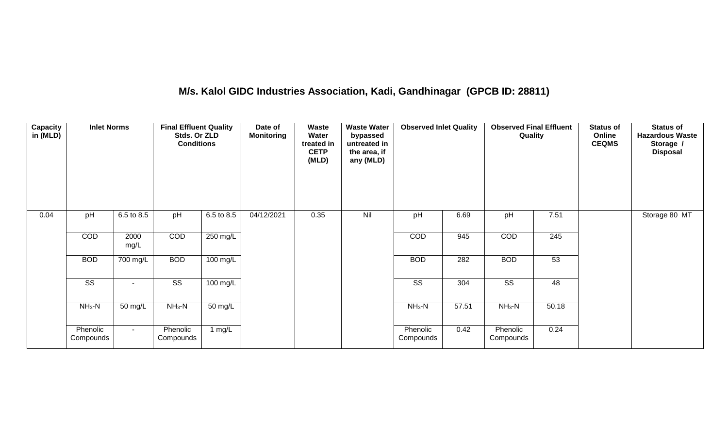## **M/s. Kalol GIDC Industries Association, Kadi, Gandhinagar (GPCB ID: 28811)**

| <b>Capacity</b><br>in (MLD) | <b>Inlet Norms</b>     |              | <b>Final Effluent Quality</b><br>Stds. Or ZLD<br><b>Conditions</b> |                    | Date of<br><b>Monitoring</b> | Waste<br>Water<br>treated in<br><b>CETP</b><br>(MLD) | <b>Waste Water</b><br>bypassed<br>untreated in<br>the area, if<br>any (MLD) | <b>Observed Inlet Quality</b> |       | <b>Observed Final Effluent</b><br>Quality |       | <b>Status of</b><br>Online<br><b>CEQMS</b> | <b>Status of</b><br><b>Hazardous Waste</b><br>Storage /<br><b>Disposal</b> |
|-----------------------------|------------------------|--------------|--------------------------------------------------------------------|--------------------|------------------------------|------------------------------------------------------|-----------------------------------------------------------------------------|-------------------------------|-------|-------------------------------------------|-------|--------------------------------------------|----------------------------------------------------------------------------|
| 0.04                        | pH                     | 6.5 to 8.5   | pH                                                                 | 6.5 to 8.5         | 04/12/2021                   | 0.35                                                 | Nil                                                                         | pH                            | 6.69  | pH                                        | 7.51  |                                            | Storage 80 MT                                                              |
|                             | COD                    | 2000<br>mg/L | COD                                                                | 250 mg/L           |                              |                                                      |                                                                             | COD                           | 945   | COD                                       | 245   |                                            |                                                                            |
|                             | <b>BOD</b>             | 700 mg/L     | <b>BOD</b>                                                         | 100 mg/L           |                              |                                                      |                                                                             | <b>BOD</b>                    | 282   | <b>BOD</b>                                | 53    |                                            |                                                                            |
|                             | $\overline{\text{ss}}$ | $\sim$       | $\overline{\text{ss}}$                                             | $100 \text{ mg/L}$ |                              |                                                      |                                                                             | $\overline{\text{ss}}$        | 304   | $\overline{\text{ss}}$                    | 48    |                                            |                                                                            |
|                             | $NH_3-N$               | 50 mg/L      | $NH3-N$                                                            | 50 mg/L            |                              |                                                      |                                                                             | $NH3-N$                       | 57.51 | $NH_3-N$                                  | 50.18 |                                            |                                                                            |
|                             | Phenolic<br>Compounds  | $\sim$       | Phenolic<br>Compounds                                              | 1 mg/L             |                              |                                                      |                                                                             | Phenolic<br>Compounds         | 0.42  | Phenolic<br>Compounds                     | 0.24  |                                            |                                                                            |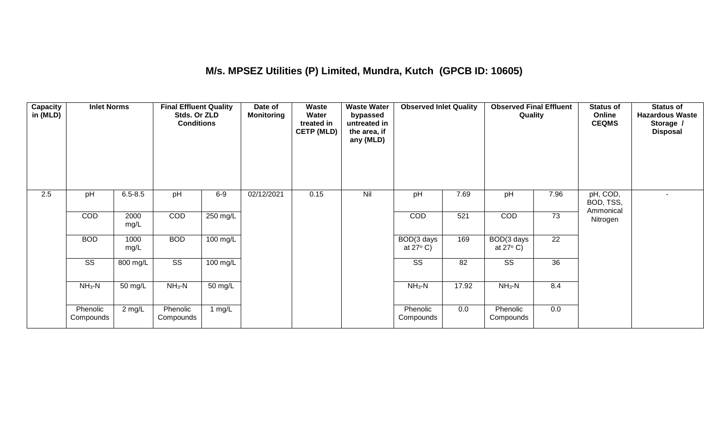## **M/s. MPSEZ Utilities (P) Limited, Mundra, Kutch (GPCB ID: 10605)**

| Capacity<br>in (MLD) | <b>Inlet Norms</b>     |              | <b>Final Effluent Quality</b><br>Stds. Or ZLD<br><b>Conditions</b> |            | Date of<br><b>Monitoring</b> | <b>Waste</b><br>Water<br>treated in<br><b>CETP (MLD)</b> | <b>Waste Water</b><br>bypassed<br>untreated in<br>the area, if<br>any (MLD) | <b>Observed Inlet Quality</b>    |       | <b>Observed Final Effluent</b><br>Quality |                 | <b>Status of</b><br>Online<br><b>CEQMS</b> | <b>Status of</b><br><b>Hazardous Waste</b><br>Storage /<br><b>Disposal</b> |
|----------------------|------------------------|--------------|--------------------------------------------------------------------|------------|------------------------------|----------------------------------------------------------|-----------------------------------------------------------------------------|----------------------------------|-------|-------------------------------------------|-----------------|--------------------------------------------|----------------------------------------------------------------------------|
| 2.5                  | pH                     | $6.5 - 8.5$  | pH                                                                 | $6-9$      | 02/12/2021                   | 0.15                                                     | Nil                                                                         | pH                               | 7.69  | pH                                        | 7.96            | pH, COD,<br>BOD, TSS,<br>Ammonical         |                                                                            |
|                      | COD                    | 2000<br>mg/L | COD                                                                | 250 mg/L   |                              |                                                          |                                                                             | COD                              | 521   | COD                                       | 73              | Nitrogen                                   |                                                                            |
|                      | <b>BOD</b>             | 1000<br>mg/L | <b>BOD</b>                                                         | $100$ mg/L |                              |                                                          |                                                                             | BOD(3 days<br>at $27^{\circ}$ C) | 169   | BOD(3 days<br>at $27^{\circ}$ C)          | $\overline{22}$ |                                            |                                                                            |
|                      | $\overline{\text{SS}}$ | 800 mg/L     | $\overline{\text{ss}}$                                             | 100 mg/L   |                              |                                                          |                                                                             | SS                               | 82    | $\overline{\text{SS}}$                    | 36              |                                            |                                                                            |
|                      | $NH3-N$                | 50 mg/L      | $NH_3-N$                                                           | 50 mg/L    |                              |                                                          |                                                                             | $NH3-N$                          | 17.92 | $NH3-N$                                   | 8.4             |                                            |                                                                            |
|                      | Phenolic<br>Compounds  | 2 mg/L       | Phenolic<br>Compounds                                              | 1 mg/L     |                              |                                                          |                                                                             | Phenolic<br>Compounds            | 0.0   | Phenolic<br>Compounds                     | 0.0             |                                            |                                                                            |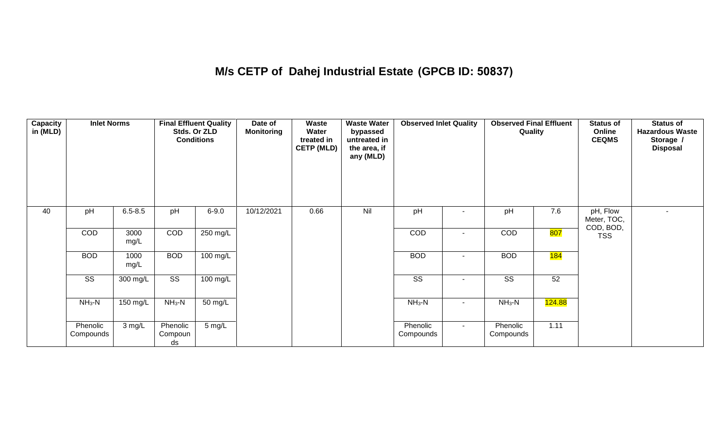## **M/s CETP of Dahej Industrial Estate (GPCB ID: 50837)**

| <b>Capacity</b><br>in (MLD) | <b>Inlet Norms</b>     |              |                           | <b>Final Effluent Quality</b><br>Stds. Or ZLD<br><b>Conditions</b> | Date of<br><b>Monitoring</b> | Waste<br>Water<br>treated in<br><b>CETP (MLD)</b> | <b>Waste Water</b><br>bypassed<br>untreated in<br>the area, if<br>any (MLD) | <b>Observed Inlet Quality</b> |                | <b>Observed Final Effluent</b><br>Quality |                  | <b>Status of</b><br>Online<br><b>CEQMS</b> | Status of<br><b>Hazardous Waste</b><br>Storage /<br><b>Disposal</b> |
|-----------------------------|------------------------|--------------|---------------------------|--------------------------------------------------------------------|------------------------------|---------------------------------------------------|-----------------------------------------------------------------------------|-------------------------------|----------------|-------------------------------------------|------------------|--------------------------------------------|---------------------------------------------------------------------|
| 40                          | pH                     | $6.5 - 8.5$  | pH                        | $6 - 9.0$                                                          | 10/12/2021                   | 0.66                                              | Nil                                                                         | pH                            |                | pH                                        | 7.6              | pH, Flow<br>Meter, TOC,                    |                                                                     |
|                             | COD                    | 3000<br>mg/L | COD                       | $250 \text{ mg/L}$                                                 |                              |                                                   |                                                                             | COD                           | $\blacksquare$ | COD                                       | <mark>807</mark> | COD, BOD,<br><b>TSS</b>                    |                                                                     |
|                             | <b>BOD</b>             | 1000<br>mg/L | <b>BOD</b>                | 100 mg/L                                                           |                              |                                                   |                                                                             | <b>BOD</b>                    |                | <b>BOD</b>                                | 184              |                                            |                                                                     |
|                             | $\overline{\text{ss}}$ | 300 mg/L     | $\overline{\text{SS}}$    | $100 \text{ mg/L}$                                                 |                              |                                                   |                                                                             | $\overline{\text{SS}}$        |                | $\overline{\text{SS}}$                    | 52               |                                            |                                                                     |
|                             | $NH3-N$                | 150 mg/L     | $NH3-N$                   | 50 mg/L                                                            |                              |                                                   |                                                                             | $NH3-N$                       | $\sim$         | $NH_3-N$                                  | 124.88           |                                            |                                                                     |
|                             | Phenolic<br>Compounds  | 3 mg/L       | Phenolic<br>Compoun<br>ds | 5 mg/L                                                             |                              |                                                   |                                                                             | Phenolic<br>Compounds         | $\sim$         | Phenolic<br>Compounds                     | 1.11             |                                            |                                                                     |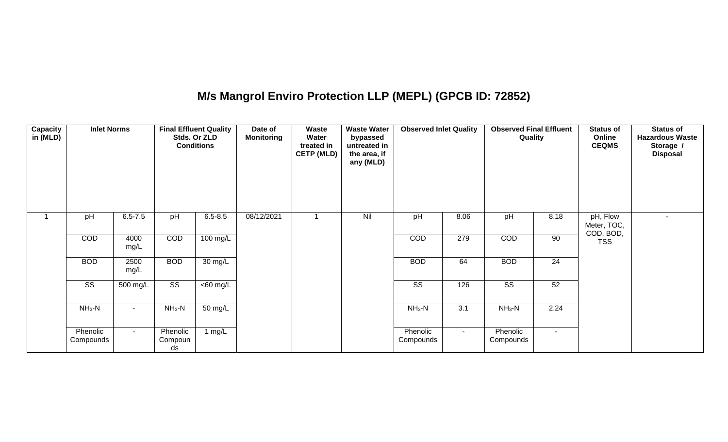## **M/s Mangrol Enviro Protection LLP (MEPL) (GPCB ID: 72852)**

| <b>Capacity</b><br>in (MLD) | <b>Inlet Norms</b>     |              |                           | <b>Final Effluent Quality</b><br>Stds. Or ZLD<br><b>Conditions</b> | Date of<br><b>Monitoring</b> | Waste<br>Water<br>treated in<br><b>CETP (MLD)</b> | <b>Waste Water</b><br>bypassed<br>untreated in<br>the area, if<br>any (MLD) | <b>Observed Inlet Quality</b> |        | <b>Observed Final Effluent</b><br>Quality |                 | <b>Status of</b><br>Online<br><b>CEQMS</b> | <b>Status of</b><br><b>Hazardous Waste</b><br>Storage /<br><b>Disposal</b> |
|-----------------------------|------------------------|--------------|---------------------------|--------------------------------------------------------------------|------------------------------|---------------------------------------------------|-----------------------------------------------------------------------------|-------------------------------|--------|-------------------------------------------|-----------------|--------------------------------------------|----------------------------------------------------------------------------|
| 1                           | pH                     | $6.5 - 7.5$  | pH                        | $6.5 - 8.5$                                                        | 08/12/2021                   |                                                   | Nil                                                                         | pH                            | 8.06   | pH                                        | 8.18            | pH, Flow<br>Meter, TOC,<br>COD, BOD,       | $\sim$                                                                     |
|                             | COD                    | 4000<br>mg/L | COD                       | 100 mg/L                                                           |                              |                                                   |                                                                             | COD                           | 279    | COD                                       | 90              | <b>TSS</b>                                 |                                                                            |
|                             | <b>BOD</b>             | 2500<br>mg/L | <b>BOD</b>                | 30 mg/L                                                            |                              |                                                   |                                                                             | <b>BOD</b>                    | 64     | <b>BOD</b>                                | $\overline{24}$ |                                            |                                                                            |
|                             | $\overline{\text{SS}}$ | 500 mg/L     | $\overline{\text{SS}}$    | <60 mg/L                                                           |                              |                                                   |                                                                             | $\overline{\text{SS}}$        | 126    | $\overline{\text{SS}}$                    | 52              |                                            |                                                                            |
|                             | $NH3-N$                | $\sim$       | $NH3-N$                   | 50 mg/L                                                            |                              |                                                   |                                                                             | $NH3-N$                       | 3.1    | $NH3-N$                                   | 2.24            |                                            |                                                                            |
|                             | Phenolic<br>Compounds  | $\sim$       | Phenolic<br>Compoun<br>ds | 1 $mg/L$                                                           |                              |                                                   |                                                                             | Phenolic<br>Compounds         | $\sim$ | Phenolic<br>Compounds                     | $\sim$ 10 $\,$  |                                            |                                                                            |